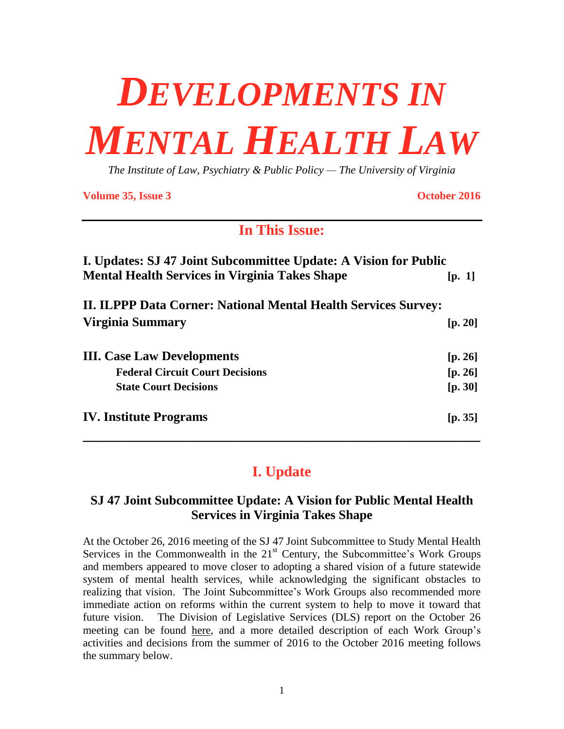# *DEVELOPMENTS IN MENTAL HEALTH LAW*

*The Institute of Law, Psychiatry & Public Policy — The University of Virginia*

**Volume 35, Issue 3 October 2016**

# **In This Issue:**

| I. Updates: SJ 47 Joint Subcommittee Update: A Vision for Public      |         |
|-----------------------------------------------------------------------|---------|
| <b>Mental Health Services in Virginia Takes Shape</b>                 | [p. 1]  |
| <b>II. ILPPP Data Corner: National Mental Health Services Survey:</b> |         |
| Virginia Summary                                                      | [p. 20] |
| <b>III.</b> Case Law Developments                                     | [p. 26] |
| <b>Federal Circuit Court Decisions</b>                                | [p. 26] |
| <b>State Court Decisions</b>                                          | [p. 30] |
| <b>IV. Institute Programs</b>                                         | [p. 35] |
|                                                                       |         |

# **I. Update**

# **SJ 47 Joint Subcommittee Update: A Vision for Public Mental Health Services in Virginia Takes Shape**

At the October 26, 2016 meeting of the SJ 47 Joint Subcommittee to Study Mental Health Services in the Commonwealth in the  $21<sup>st</sup>$  Century, the Subcommittee's Work Groups and members appeared to move closer to adopting a shared vision of a future statewide system of mental health services, while acknowledging the significant obstacles to realizing that vision. The Joint Subcommittee's Work Groups also recommended more immediate action on reforms within the current system to help to move it toward that future vision. The Division of Legislative Services (DLS) report on the October 26 meeting can be found [here,](http://dls.virginia.gov/GROUPS/MHS/sm102616.pdf) and a more detailed description of each Work Group's activities and decisions from the summer of 2016 to the October 2016 meeting follows the summary below.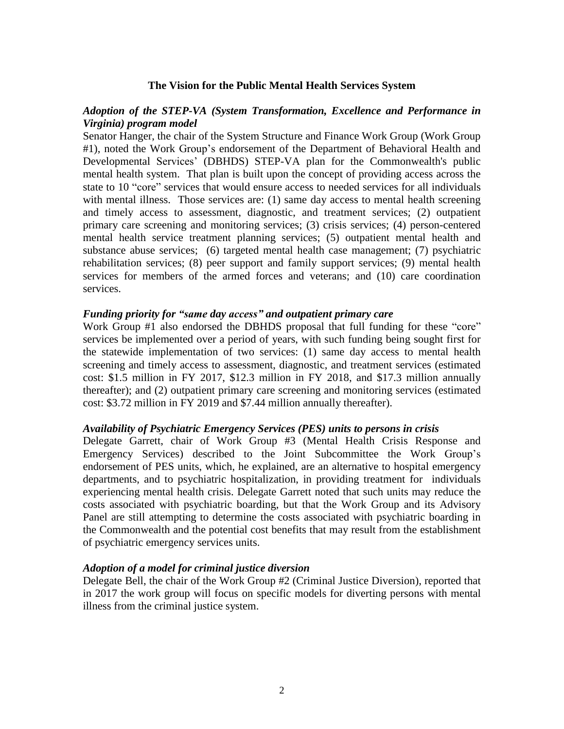## **The Vision for the Public Mental Health Services System**

# *Adoption of the STEP-VA (System Transformation, Excellence and Performance in Virginia) program model*

Senator Hanger, the chair of the System Structure and Finance Work Group (Work Group #1), noted the Work Group's endorsement of the Department of Behavioral Health and Developmental Services' (DBHDS) STEP-VA plan for the Commonwealth's public mental health system. That plan is built upon the concept of providing access across the state to 10 "core" services that would ensure access to needed services for all individuals with mental illness. Those services are: (1) same day access to mental health screening and timely access to assessment, diagnostic, and treatment services; (2) outpatient primary care screening and monitoring services; (3) crisis services; (4) person-centered mental health service treatment planning services; (5) outpatient mental health and substance abuse services; (6) targeted mental health case management; (7) psychiatric rehabilitation services; (8) peer support and family support services; (9) mental health services for members of the armed forces and veterans; and (10) care coordination services.

#### *Funding priority for "same day access" and outpatient primary care*

Work Group #1 also endorsed the DBHDS proposal that full funding for these "core" services be implemented over a period of years, with such funding being sought first for the statewide implementation of two services: (1) same day access to mental health screening and timely access to assessment, diagnostic, and treatment services (estimated cost: \$1.5 million in FY 2017, \$12.3 million in FY 2018, and \$17.3 million annually thereafter); and (2) outpatient primary care screening and monitoring services (estimated cost: \$3.72 million in FY 2019 and \$7.44 million annually thereafter).

#### *Availability of Psychiatric Emergency Services (PES) units to persons in crisis*

Delegate Garrett, chair of Work Group #3 (Mental Health Crisis Response and Emergency Services) described to the Joint Subcommittee the Work Group's endorsement of PES units, which, he explained, are an alternative to hospital emergency departments, and to psychiatric hospitalization, in providing treatment for individuals experiencing mental health crisis. Delegate Garrett noted that such units may reduce the costs associated with psychiatric boarding, but that the Work Group and its Advisory Panel are still attempting to determine the costs associated with psychiatric boarding in the Commonwealth and the potential cost benefits that may result from the establishment of psychiatric emergency services units.

#### *Adoption of a model for criminal justice diversion*

Delegate Bell, the chair of the Work Group #2 (Criminal Justice Diversion), reported that in 2017 the work group will focus on specific models for diverting persons with mental illness from the criminal justice system.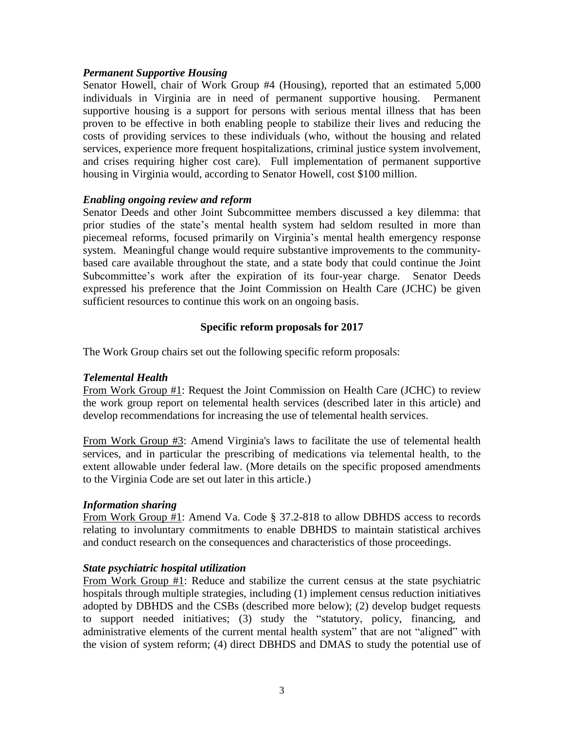# *Permanent Supportive Housing*

Senator Howell, chair of Work Group #4 (Housing), reported that an estimated 5,000 individuals in Virginia are in need of permanent supportive housing. Permanent supportive housing is a support for persons with serious mental illness that has been proven to be effective in both enabling people to stabilize their lives and reducing the costs of providing services to these individuals (who, without the housing and related services, experience more frequent hospitalizations, criminal justice system involvement, and crises requiring higher cost care). Full implementation of permanent supportive housing in Virginia would, according to Senator Howell, cost \$100 million.

# *Enabling ongoing review and reform*

Senator Deeds and other Joint Subcommittee members discussed a key dilemma: that prior studies of the state's mental health system had seldom resulted in more than piecemeal reforms, focused primarily on Virginia's mental health emergency response system. Meaningful change would require substantive improvements to the communitybased care available throughout the state, and a state body that could continue the Joint Subcommittee's work after the expiration of its four-year charge. Senator Deeds expressed his preference that the Joint Commission on Health Care (JCHC) be given sufficient resources to continue this work on an ongoing basis.

# **Specific reform proposals for 2017**

The Work Group chairs set out the following specific reform proposals:

# *Telemental Health*

From Work Group #1: Request the Joint Commission on Health Care (JCHC) to review the work group report on telemental health services (described later in this article) and develop recommendations for increasing the use of telemental health services.

From Work Group #3: Amend Virginia's laws to facilitate the use of telemental health services, and in particular the prescribing of medications via telemental health, to the extent allowable under federal law. (More details on the specific proposed amendments to the Virginia Code are set out later in this article.)

# *Information sharing*

From Work Group #1: Amend Va. Code § 37.2-818 to allow DBHDS access to records relating to involuntary commitments to enable DBHDS to maintain statistical archives and conduct research on the consequences and characteristics of those proceedings.

# *State psychiatric hospital utilization*

From Work Group #1: Reduce and stabilize the current census at the state psychiatric hospitals through multiple strategies, including (1) implement census reduction initiatives adopted by DBHDS and the CSBs (described more below); (2) develop budget requests to support needed initiatives; (3) study the "statutory, policy, financing, and administrative elements of the current mental health system" that are not "aligned" with the vision of system reform; (4) direct DBHDS and DMAS to study the potential use of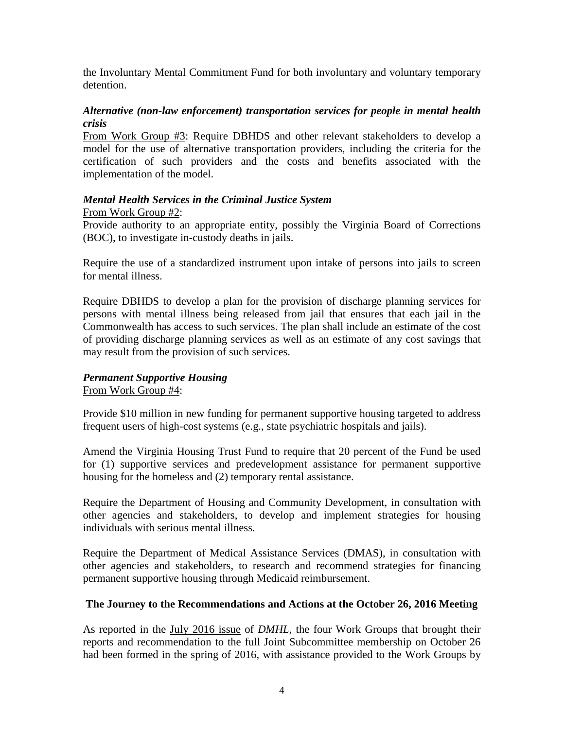the Involuntary Mental Commitment Fund for both involuntary and voluntary temporary detention.

# *Alternative (non-law enforcement) transportation services for people in mental health crisis*

From Work Group #3: Require DBHDS and other relevant stakeholders to develop a model for the use of alternative transportation providers, including the criteria for the certification of such providers and the costs and benefits associated with the implementation of the model.

# *Mental Health Services in the Criminal Justice System*

# From Work Group #2:

Provide authority to an appropriate entity, possibly the Virginia Board of Corrections (BOC), to investigate in-custody deaths in jails.

Require the use of a standardized instrument upon intake of persons into jails to screen for mental illness.

Require DBHDS to develop a plan for the provision of discharge planning services for persons with mental illness being released from jail that ensures that each jail in the Commonwealth has access to such services. The plan shall include an estimate of the cost of providing discharge planning services as well as an estimate of any cost savings that may result from the provision of such services.

# *Permanent Supportive Housing* From Work Group #4:

Provide \$10 million in new funding for permanent supportive housing targeted to address frequent users of high-cost systems (e.g., state psychiatric hospitals and jails).

Amend the Virginia Housing Trust Fund to require that 20 percent of the Fund be used for (1) supportive services and predevelopment assistance for permanent supportive housing for the homeless and (2) temporary rental assistance.

Require the Department of Housing and Community Development, in consultation with other agencies and stakeholders, to develop and implement strategies for housing individuals with serious mental illness.

Require the Department of Medical Assistance Services (DMAS), in consultation with other agencies and stakeholders, to research and recommend strategies for financing permanent supportive housing through Medicaid reimbursement.

# **The Journey to the Recommendations and Actions at the October 26, 2016 Meeting**

As reported in the July 2016 [issue](http://www.ilppp.virginia.edu/PublicationsAndPolicy/Index) of *DMHL*, the four Work Groups that brought their reports and recommendation to the full Joint Subcommittee membership on October 26 had been formed in the spring of 2016, with assistance provided to the Work Groups by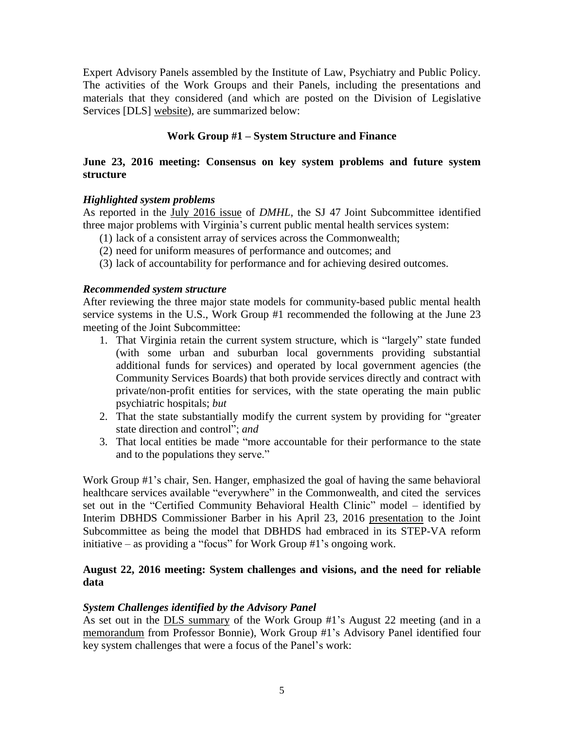Expert Advisory Panels assembled by the Institute of Law, Psychiatry and Public Policy. The activities of the Work Groups and their Panels, including the presentations and materials that they considered (and which are posted on the Division of Legislative Services [DLS] [website\)](http://dls.virginia.gov/interim_studies_MHS.html), are summarized below:

# **Work Group #1 – System Structure and Finance**

# **June 23, 2016 meeting: Consensus on key system problems and future system structure**

# *Highlighted system problems*

As reported in the July 2016 [issue](http://www.ilppp.virginia.edu/PublicationsAndPolicy/Index) of *DMHL*, the SJ 47 Joint Subcommittee identified three major problems with Virginia's current public mental health services system:

- (1) lack of a consistent array of services across the Commonwealth;
- (2) need for uniform measures of performance and outcomes; and
- (3) lack of accountability for performance and for achieving desired outcomes.

# *Recommended system structure*

After reviewing the three major state models for community-based public mental health service systems in the U.S., Work Group #1 recommended the following at the June 23 meeting of the Joint Subcommittee:

- 1. That Virginia retain the current system structure, which is "largely" state funded (with some urban and suburban local governments providing substantial additional funds for services) and operated by local government agencies (the Community Services Boards) that both provide services directly and contract with private/non-profit entities for services, with the state operating the main public psychiatric hospitals; *but*
- 2. That the state substantially modify the current system by providing for "greater state direction and control"; *and*
- 3. That local entities be made "more accountable for their performance to the state and to the populations they serve."

Work Group #1's chair, Sen. Hanger, emphasized the goal of having the same behavioral healthcare services available "everywhere" in the Commonwealth, and cited the services set out in the "Certified Community Behavioral Health Clinic" model – identified by Interim DBHDS Commissioner Barber in his April 23, 2016 [presentation](http://dls.virginia.gov/groups/mhs/DBHDS_041916.pdf) to the Joint Subcommittee as being the model that DBHDS had embraced in its STEP-VA reform initiative – as providing a "focus" for Work Group #1's ongoing work.

# **August 22, 2016 meeting: System challenges and visions, and the need for reliable data**

# *System Challenges identified by the Advisory Panel*

As set out in the DLS [summary](http://dls.virginia.gov/GROUPS/MHS/sm082216wg1.pdf) of the Work Group #1's August 22 meeting (and in a [memorandum](http://dls.virginia.gov/groups/mhs/update082216.pdf) from Professor Bonnie), Work Group #1's Advisory Panel identified four key system challenges that were a focus of the Panel's work: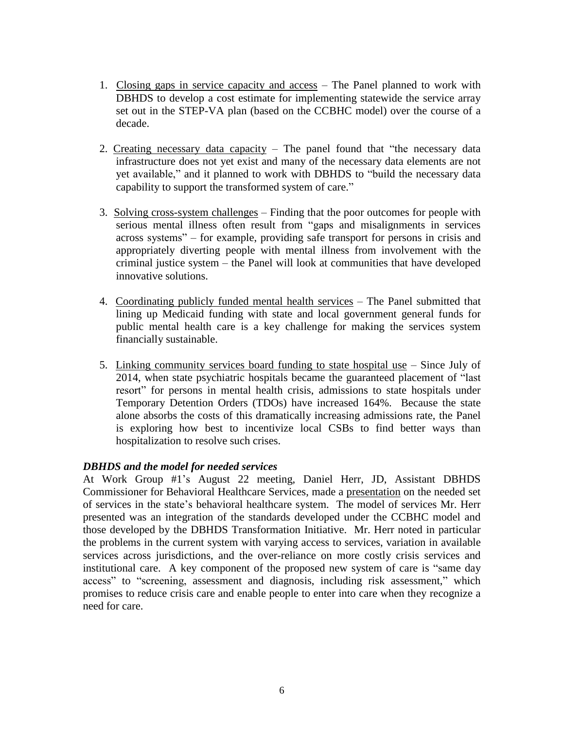- 1. Closing gaps in service capacity and access The Panel planned to work with DBHDS to develop a cost estimate for implementing statewide the service array set out in the STEP-VA plan (based on the CCBHC model) over the course of a decade.
- 2. Creating necessary data capacity The panel found that "the necessary data" infrastructure does not yet exist and many of the necessary data elements are not yet available," and it planned to work with DBHDS to "build the necessary data capability to support the transformed system of care."
- 3. Solving cross-system challenges Finding that the poor outcomes for people with serious mental illness often result from "gaps and misalignments in services across systems" – for example, providing safe transport for persons in crisis and appropriately diverting people with mental illness from involvement with the criminal justice system – the Panel will look at communities that have developed innovative solutions.
- 4. Coordinating publicly funded mental health services The Panel submitted that lining up Medicaid funding with state and local government general funds for public mental health care is a key challenge for making the services system financially sustainable.
- 5. Linking community services board funding to state hospital use Since July of 2014, when state psychiatric hospitals became the guaranteed placement of "last resort" for persons in mental health crisis, admissions to state hospitals under Temporary Detention Orders (TDOs) have increased 164%. Because the state alone absorbs the costs of this dramatically increasing admissions rate, the Panel is exploring how best to incentivize local CSBs to find better ways than hospitalization to resolve such crises.

# *DBHDS and the model for needed services*

At Work Group #1's August 22 meeting, Daniel Herr, JD, Assistant DBHDS Commissioner for Behavioral Healthcare Services, made a [presentation](http://dls.virginia.gov/groups/mhs/service%20desc%20082216.pdf) on the needed set of services in the state's behavioral healthcare system. The model of services Mr. Herr presented was an integration of the standards developed under the CCBHC model and those developed by the DBHDS Transformation Initiative. Mr. Herr noted in particular the problems in the current system with varying access to services, variation in available services across jurisdictions, and the over-reliance on more costly crisis services and institutional care. A key component of the proposed new system of care is "same day access" to "screening, assessment and diagnosis, including risk assessment," which promises to reduce crisis care and enable people to enter into care when they recognize a need for care.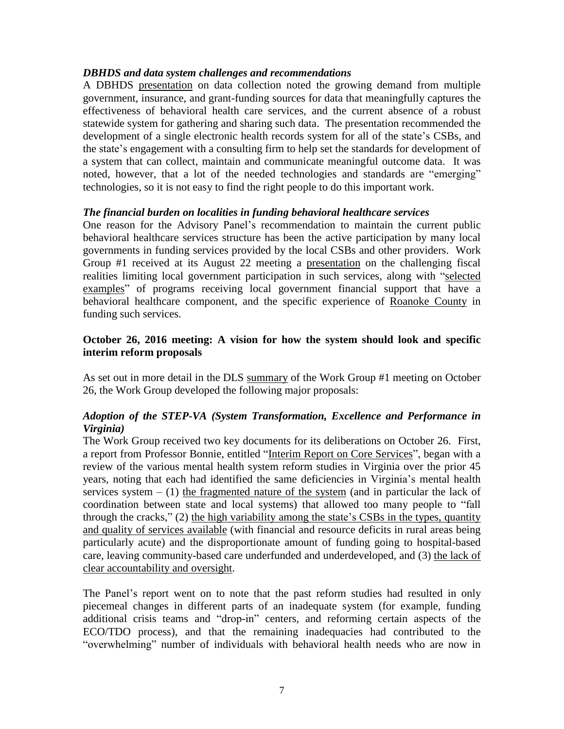# *DBHDS and data system challenges and recommendations*

A DBHDS [presentation](http://dls.virginia.gov/groups/mhs/data%20collection%20082216.pdf) on data collection noted the growing demand from multiple government, insurance, and grant-funding sources for data that meaningfully captures the effectiveness of behavioral health care services, and the current absence of a robust statewide system for gathering and sharing such data. The presentation recommended the development of a single electronic health records system for all of the state's CSBs, and the state's engagement with a consulting firm to help set the standards for development of a system that can collect, maintain and communicate meaningful outcome data. It was noted, however, that a lot of the needed technologies and standards are "emerging" technologies, so it is not easy to find the right people to do this important work.

# *The financial burden on localities in funding behavioral healthcare services*

One reason for the Advisory Panel's recommendation to maintain the current public behavioral healthcare services structure has been the active participation by many local governments in funding services provided by the local CSBs and other providers. Work Group #1 received at its August 22 meeting a [presentation](http://dls.virginia.gov/groups/mhs/fiscal082216.pdf) on the challenging fiscal realities limiting local government participation in such services, along with ["selected](http://dls.virginia.gov/groups/mhs/selected%20programs.pdf) [examples"](http://dls.virginia.gov/groups/mhs/selected%20programs.pdf) of programs receiving local government financial support that have a behavioral healthcare component, and the specific experience of [Roanoke](http://dls.virginia.gov/groups/mhs/roanoke082216.pdf) County in funding such services.

# **October 26, 2016 meeting: A vision for how the system should look and specific interim reform proposals**

As set out in more detail in the DLS [summary](http://dls.virginia.gov/GROUPS/MHS/sm102616wg1.pdf) of the Work Group #1 meeting on October 26, the Work Group developed the following major proposals:

# *Adoption of the STEP-VA (System Transformation, Excellence and Performance in Virginia)*

The Work Group received two key documents for its deliberations on October 26. First, a report from Professor Bonnie, entitled "Interim Report on Core [Services"](http://dls.virginia.gov/groups/mhs/core%20services%20rpt%20102616.pdf), began with a review of the various mental health system reform studies in Virginia over the prior 45 years, noting that each had identified the same deficiencies in Virginia's mental health services system  $-$  (1) the fragmented nature of the system (and in particular the lack of coordination between state and local systems) that allowed too many people to "fall through the cracks," (2) the high variability among the state's CSBs in the types, quantity and quality of services available (with financial and resource deficits in rural areas being particularly acute) and the disproportionate amount of funding going to hospital-based care, leaving community-based care underfunded and underdeveloped, and (3) the lack of clear accountability and oversight.

The Panel's report went on to note that the past reform studies had resulted in only piecemeal changes in different parts of an inadequate system (for example, funding additional crisis teams and "drop-in" centers, and reforming certain aspects of the ECO/TDO process), and that the remaining inadequacies had contributed to the "overwhelming" number of individuals with behavioral health needs who are now in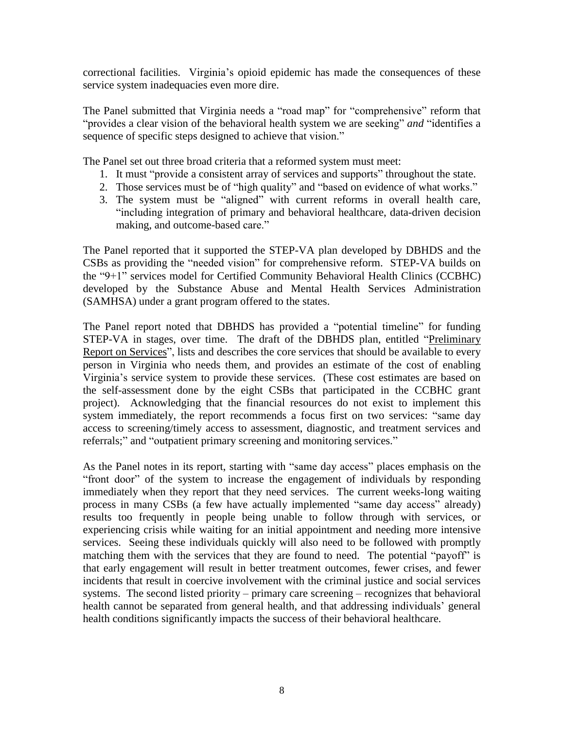correctional facilities. Virginia's opioid epidemic has made the consequences of these service system inadequacies even more dire.

The Panel submitted that Virginia needs a "road map" for "comprehensive" reform that "provides a clear vision of the behavioral health system we are seeking" *and* "identifies a sequence of specific steps designed to achieve that vision."

The Panel set out three broad criteria that a reformed system must meet:

- 1. It must "provide a consistent array of services and supports" throughout the state.
- 2. Those services must be of "high quality" and "based on evidence of what works."
- 3. The system must be "aligned" with current reforms in overall health care, "including integration of primary and behavioral healthcare, data-driven decision making, and outcome-based care."

The Panel reported that it supported the STEP-VA plan developed by DBHDS and the CSBs as providing the "needed vision" for comprehensive reform. STEP-VA builds on the "9+1" services model for Certified Community Behavioral Health Clinics (CCBHC) developed by the Substance Abuse and Mental Health Services Administration (SAMHSA) under a grant program offered to the states.

The Panel report noted that DBHDS has provided a "potential timeline" for funding STEP-VA in stages, over time. The draft of the DBHDS plan, entitled ["Preliminary](http://dls.virginia.gov/groups/mhs/prelim%20rpt%20102616.pdf) Report on [Services"](http://dls.virginia.gov/groups/mhs/prelim%20rpt%20102616.pdf), lists and describes the core services that should be available to every person in Virginia who needs them, and provides an estimate of the cost of enabling Virginia's service system to provide these services. (These cost estimates are based on the self-assessment done by the eight CSBs that participated in the CCBHC grant project). Acknowledging that the financial resources do not exist to implement this system immediately, the report recommends a focus first on two services: "same day access to screening/timely access to assessment, diagnostic, and treatment services and referrals;" and "outpatient primary screening and monitoring services."

As the Panel notes in its report, starting with "same day access" places emphasis on the "front door" of the system to increase the engagement of individuals by responding immediately when they report that they need services. The current weeks-long waiting process in many CSBs (a few have actually implemented "same day access" already) results too frequently in people being unable to follow through with services, or experiencing crisis while waiting for an initial appointment and needing more intensive services. Seeing these individuals quickly will also need to be followed with promptly matching them with the services that they are found to need. The potential "payoff" is that early engagement will result in better treatment outcomes, fewer crises, and fewer incidents that result in coercive involvement with the criminal justice and social services systems. The second listed priority – primary care screening – recognizes that behavioral health cannot be separated from general health, and that addressing individuals' general health conditions significantly impacts the success of their behavioral healthcare.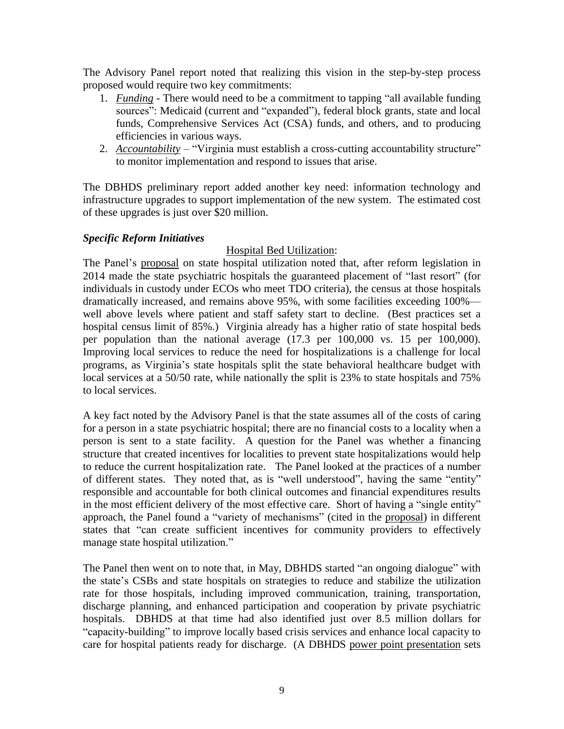The Advisory Panel report noted that realizing this vision in the step-by-step process proposed would require two key commitments:

- 1. *Funding* There would need to be a commitment to tapping "all available funding sources": Medicaid (current and "expanded"), federal block grants, state and local funds, Comprehensive Services Act (CSA) funds, and others, and to producing efficiencies in various ways.
- 2. *Accountability* "Virginia must establish a cross-cutting accountability structure" to monitor implementation and respond to issues that arise.

The DBHDS preliminary report added another key need: information technology and infrastructure upgrades to support implementation of the new system. The estimated cost of these upgrades is just over \$20 million.

# *Specific Reform Initiatives*

# Hospital Bed Utilization:

The Panel's [proposal](http://dls.virginia.gov/groups/mhs/state%20hospital%20utilization102616.pdf) on state hospital utilization noted that, after reform legislation in 2014 made the state psychiatric hospitals the guaranteed placement of "last resort" (for individuals in custody under ECOs who meet TDO criteria), the census at those hospitals dramatically increased, and remains above 95%, with some facilities exceeding 100% well above levels where patient and staff safety start to decline. (Best practices set a hospital census limit of 85%.) Virginia already has a higher ratio of state hospital beds per population than the national average (17.3 per 100,000 vs. 15 per 100,000). Improving local services to reduce the need for hospitalizations is a challenge for local programs, as Virginia's state hospitals split the state behavioral healthcare budget with local services at a 50/50 rate, while nationally the split is 23% to state hospitals and 75% to local services.

A key fact noted by the Advisory Panel is that the state assumes all of the costs of caring for a person in a state psychiatric hospital; there are no financial costs to a locality when a person is sent to a state facility. A question for the Panel was whether a financing structure that created incentives for localities to prevent state hospitalizations would help to reduce the current hospitalization rate. The Panel looked at the practices of a number of different states. They noted that, as is "well understood", having the same "entity" responsible and accountable for both clinical outcomes and financial expenditures results in the most efficient delivery of the most effective care. Short of having a "single entity" approach, the Panel found a "variety of mechanisms" (cited in the [proposal\)](http://dls.virginia.gov/groups/mhs/state%20hospital%20utilization102616.pdf) in different states that "can create sufficient incentives for community providers to effectively manage state hospital utilization."

The Panel then went on to note that, in May, DBHDS started "an ongoing dialogue" with the state's CSBs and state hospitals on strategies to reduce and stabilize the utilization rate for those hospitals, including improved communication, training, transportation, discharge planning, and enhanced participation and cooperation by private psychiatric hospitals. DBHDS at that time had also identified just over 8.5 million dollars for "capacity-building" to improve locally based crisis services and enhance local capacity to care for hospital patients ready for discharge. (A DBHDS power point [presentation](http://dls.virginia.gov/groups/mhs/state%20hosp%20census%20mgmt%20info.pdf) sets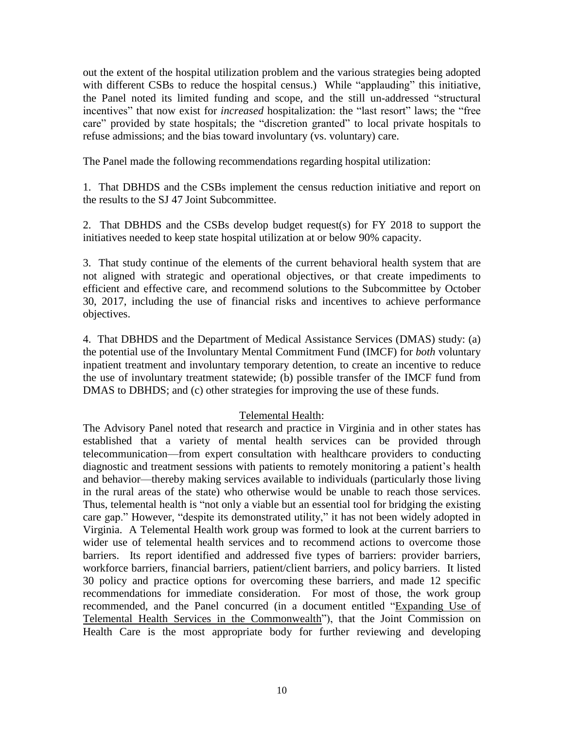out the extent of the hospital utilization problem and the various strategies being adopted with different CSBs to reduce the hospital census.) While "applauding" this initiative, the Panel noted its limited funding and scope, and the still un-addressed "structural incentives" that now exist for *increased* hospitalization: the "last resort" laws; the "free care" provided by state hospitals; the "discretion granted" to local private hospitals to refuse admissions; and the bias toward involuntary (vs. voluntary) care.

The Panel made the following recommendations regarding hospital utilization:

1. That DBHDS and the CSBs implement the census reduction initiative and report on the results to the SJ 47 Joint Subcommittee.

2. That DBHDS and the CSBs develop budget request(s) for FY 2018 to support the initiatives needed to keep state hospital utilization at or below 90% capacity.

3. That study continue of the elements of the current behavioral health system that are not aligned with strategic and operational objectives, or that create impediments to efficient and effective care, and recommend solutions to the Subcommittee by October 30, 2017, including the use of financial risks and incentives to achieve performance objectives.

4. That DBHDS and the Department of Medical Assistance Services (DMAS) study: (a) the potential use of the Involuntary Mental Commitment Fund (IMCF) for *both* voluntary inpatient treatment and involuntary temporary detention, to create an incentive to reduce the use of involuntary treatment statewide; (b) possible transfer of the IMCF fund from DMAS to DBHDS; and (c) other strategies for improving the use of these funds.

# Telemental Health:

The Advisory Panel noted that research and practice in Virginia and in other states has established that a variety of mental health services can be provided through telecommunication—from expert consultation with healthcare providers to conducting diagnostic and treatment sessions with patients to remotely monitoring a patient's health and behavior—thereby making services available to individuals (particularly those living in the rural areas of the state) who otherwise would be unable to reach those services. Thus, telemental health is "not only a viable but an essential tool for bridging the existing care gap." However, "despite its demonstrated utility," it has not been widely adopted in Virginia. A Telemental Health work group was formed to look at the current barriers to wider use of telemental health services and to recommend actions to overcome those barriers. Its report identified and addressed five types of barriers: provider barriers, workforce barriers, financial barriers, patient/client barriers, and policy barriers. It listed 30 policy and practice options for overcoming these barriers, and made 12 specific recommendations for immediate consideration. For most of those, the work group recommended, and the Panel concurred (in a document entitled ["Expanding](http://dls.virginia.gov/groups/mhs/telemental%20health%20102616.pdf) Use of Telemental Health Services in the [Commonwealth"](http://dls.virginia.gov/groups/mhs/telemental%20health%20102616.pdf)), that the Joint Commission on Health Care is the most appropriate body for further reviewing and developing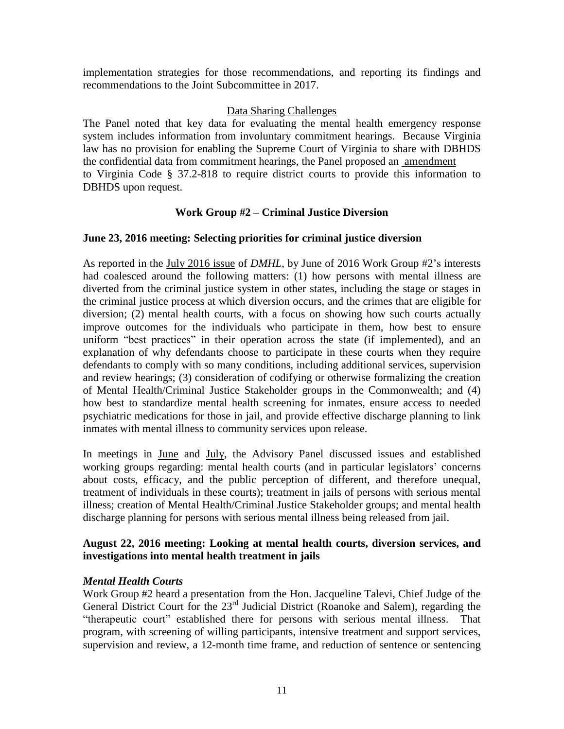implementation strategies for those recommendations, and reporting its findings and recommendations to the Joint Subcommittee in 2017.

# Data Sharing Challenges

The Panel noted that key data for evaluating the mental health emergency response system includes information from involuntary commitment hearings. Because Virginia law has no provision for enabling the Supreme Court of Virginia to share with DBHDS the confidential data from commitment hearings, the Panel proposed an [amendment](http://dls.virginia.gov/groups/mhs/37.2-818%20amendment.pdf) to Virginia Code § 37.2-818 to require district courts to provide this information to DBHDS upon request.

# **Work Group #2 – Criminal Justice Diversion**

# **June 23, 2016 meeting: Selecting priorities for criminal justice diversion**

As reported in the July 2016 [issue](http://www.ilppp.virginia.edu/PublicationsAndPolicy/Index) of *DMHL*, by June of 2016 Work Group #2's interests had coalesced around the following matters: (1) how persons with mental illness are diverted from the criminal justice system in other states, including the stage or stages in the criminal justice process at which diversion occurs, and the crimes that are eligible for diversion; (2) mental health courts, with a focus on showing how such courts actually improve outcomes for the individuals who participate in them, how best to ensure uniform "best practices" in their operation across the state (if implemented), and an explanation of why defendants choose to participate in these courts when they require defendants to comply with so many conditions, including additional services, supervision and review hearings; (3) consideration of codifying or otherwise formalizing the creation of Mental Health/Criminal Justice Stakeholder groups in the Commonwealth; and (4) how best to standardize mental health screening for inmates, ensure access to needed psychiatric medications for those in jail, and provide effective discharge planning to link inmates with mental illness to community services upon release.

In meetings in [June](http://dls.virginia.gov/groups/mhs/conf%20call%206-27-16.pdf) and [July,](http://dls.virginia.gov/groups/mhs/meeting%20of%20adv%20panel%20072516.pdf) the Advisory Panel discussed issues and established working groups regarding: mental health courts (and in particular legislators' concerns about costs, efficacy, and the public perception of different, and therefore unequal, treatment of individuals in these courts); treatment in jails of persons with serious mental illness; creation of Mental Health/Criminal Justice Stakeholder groups; and mental health discharge planning for persons with serious mental illness being released from jail.

# **August 22, 2016 meeting: Looking at mental health courts, diversion services, and investigations into mental health treatment in jails**

# *Mental Health Courts*

Work Group #2 heard a [presentation](http://dls.virginia.gov/groups/mhs/therapeutic%20docket.pdf) from the Hon. Jacqueline Talevi, Chief Judge of the General District Court for the  $23<sup>rd</sup>$  Judicial District (Roanoke and Salem), regarding the "therapeutic court" established there for persons with serious mental illness. That program, with screening of willing participants, intensive treatment and support services, supervision and review, a 12-month time frame, and reduction of sentence or sentencing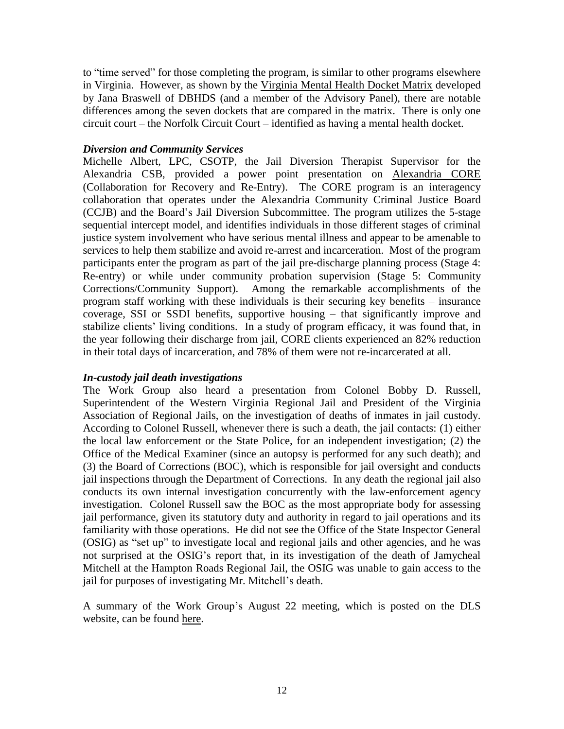to "time served" for those completing the program, is similar to other programs elsewhere in Virginia. However, as shown by the [Virginia](http://dls.virginia.gov/groups/mhs/docket%20chart%202016.pdf) Mental Health Docket Matrix developed by Jana Braswell of DBHDS (and a member of the Advisory Panel), there are notable differences among the seven dockets that are compared in the matrix. There is only one circuit court – the Norfolk Circuit Court – identified as having a mental health docket.

# *Diversion and Community Services*

Michelle Albert, LPC, CSOTP, the Jail Diversion Therapist Supervisor for the Alexandria CSB, provided a power point presentation on [Alexandria](http://dls.virginia.gov/groups/mhs/alexandria%20core.pdf) CORE (Collaboration for Recovery and Re-Entry). The CORE program is an interagency collaboration that operates under the Alexandria Community Criminal Justice Board (CCJB) and the Board's Jail Diversion Subcommittee. The program utilizes the 5-stage sequential intercept model, and identifies individuals in those different stages of criminal justice system involvement who have serious mental illness and appear to be amenable to services to help them stabilize and avoid re-arrest and incarceration. Most of the program participants enter the program as part of the jail pre-discharge planning process (Stage 4: Re-entry) or while under community probation supervision (Stage 5: Community Corrections/Community Support). Among the remarkable accomplishments of the program staff working with these individuals is their securing key benefits – insurance coverage, SSI or SSDI benefits, supportive housing – that significantly improve and stabilize clients' living conditions. In a study of program efficacy, it was found that, in the year following their discharge from jail, CORE clients experienced an 82% reduction in their total days of incarceration, and 78% of them were not re-incarcerated at all.

# *In-custody jail death investigations*

The Work Group also heard a presentation from Colonel Bobby D. Russell, Superintendent of the Western Virginia Regional Jail and President of the Virginia Association of Regional Jails, on the investigation of deaths of inmates in jail custody. According to Colonel Russell, whenever there is such a death, the jail contacts: (1) either the local law enforcement or the State Police, for an independent investigation; (2) the Office of the Medical Examiner (since an autopsy is performed for any such death); and (3) the Board of Corrections (BOC), which is responsible for jail oversight and conducts jail inspections through the Department of Corrections. In any death the regional jail also conducts its own internal investigation concurrently with the law-enforcement agency investigation. Colonel Russell saw the BOC as the most appropriate body for assessing jail performance, given its statutory duty and authority in regard to jail operations and its familiarity with those operations. He did not see the Office of the State Inspector General (OSIG) as "set up" to investigate local and regional jails and other agencies, and he was not surprised at the OSIG's report that, in its investigation of the death of Jamycheal Mitchell at the Hampton Roads Regional Jail, the OSIG was unable to gain access to the jail for purposes of investigating Mr. Mitchell's death.

A summary of the Work Group's August 22 meeting, which is posted on the DLS website, can be found [here.](http://dls.virginia.gov/GROUPS/MHS/sm082216wg2.pdf)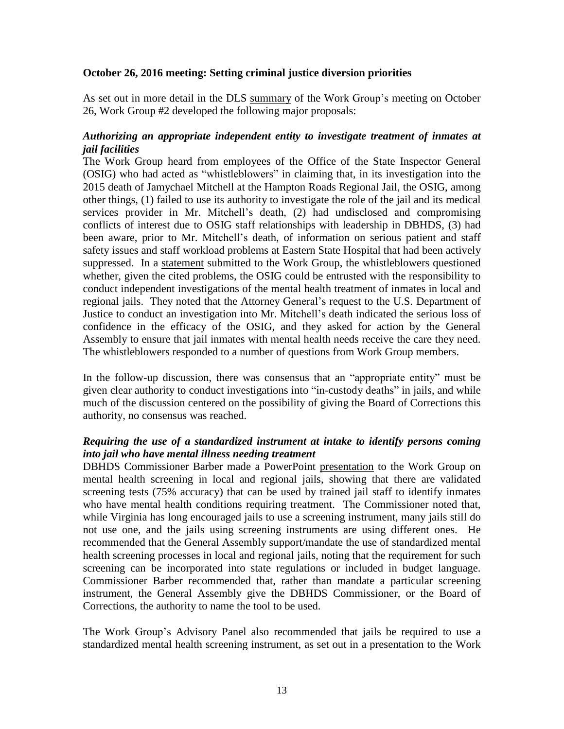# **October 26, 2016 meeting: Setting criminal justice diversion priorities**

As set out in more detail in the DLS [summary](http://dls.virginia.gov/GROUPS/MHS/sm102616wg2.pdf) of the Work Group's meeting on October 26, Work Group #2 developed the following major proposals:

# *Authorizing an appropriate independent entity to investigate treatment of inmates at jail facilities*

The Work Group heard from employees of the Office of the State Inspector General (OSIG) who had acted as "whistleblowers" in claiming that, in its investigation into the 2015 death of Jamychael Mitchell at the Hampton Roads Regional Jail, the OSIG, among other things, (1) failed to use its authority to investigate the role of the jail and its medical services provider in Mr. Mitchell's death, (2) had undisclosed and compromising conflicts of interest due to OSIG staff relationships with leadership in DBHDS, (3) had been aware, prior to Mr. Mitchell's death, of information on serious patient and staff safety issues and staff workload problems at Eastern State Hospital that had been actively suppressed. In a [statement](http://dls.virginia.gov/groups/MHS/Hill-Thomas-White%20submitted%20statement.pdf) submitted to the Work Group, the whistleblowers questioned whether, given the cited problems, the OSIG could be entrusted with the responsibility to conduct independent investigations of the mental health treatment of inmates in local and regional jails. They noted that the Attorney General's request to the U.S. Department of Justice to conduct an investigation into Mr. Mitchell's death indicated the serious loss of confidence in the efficacy of the OSIG, and they asked for action by the General Assembly to ensure that jail inmates with mental health needs receive the care they need. The whistleblowers responded to a number of questions from Work Group members.

In the follow-up discussion, there was consensus that an "appropriate entity" must be given clear authority to conduct investigations into "in-custody deaths" in jails, and while much of the discussion centered on the possibility of giving the Board of Corrections this authority, no consensus was reached.

# *Requiring the use of a standardized instrument at intake to identify persons coming into jail who have mental illness needing treatment*

DBHDS Commissioner Barber made a PowerPoint [presentation](http://dls.virginia.gov/groups/mhs/screen%20jails.pdf) to the Work Group on mental health screening in local and regional jails, showing that there are validated screening tests (75% accuracy) that can be used by trained jail staff to identify inmates who have mental health conditions requiring treatment. The Commissioner noted that, while Virginia has long encouraged jails to use a screening instrument, many jails still do not use one, and the jails using screening instruments are using different ones. He recommended that the General Assembly support/mandate the use of standardized mental health screening processes in local and regional jails, noting that the requirement for such screening can be incorporated into state regulations or included in budget language. Commissioner Barber recommended that, rather than mandate a particular screening instrument, the General Assembly give the DBHDS Commissioner, or the Board of Corrections, the authority to name the tool to be used.

The Work Group's Advisory Panel also recommended that jails be required to use a standardized mental health screening instrument, as set out in a presentation to the Work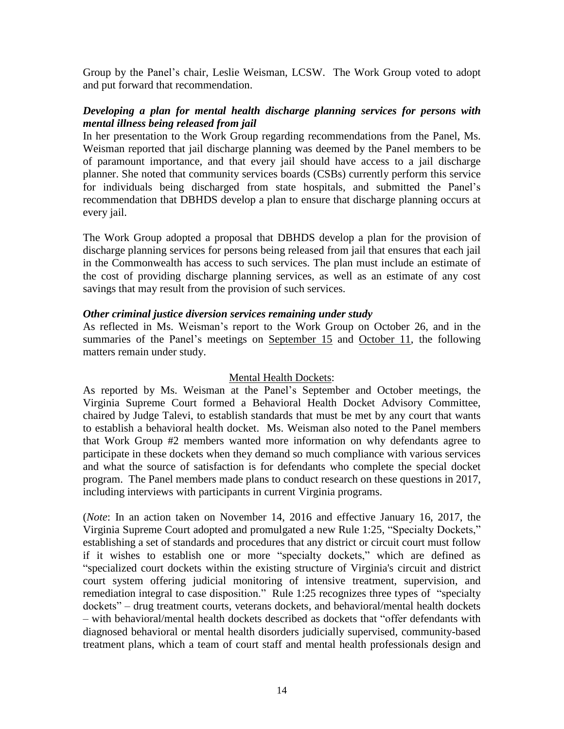Group by the Panel's chair, Leslie Weisman, LCSW. The Work Group voted to adopt and put forward that recommendation.

# *Developing a plan for mental health discharge planning services for persons with mental illness being released from jail*

In her presentation to the Work Group regarding recommendations from the Panel, Ms. Weisman reported that jail discharge planning was deemed by the Panel members to be of paramount importance, and that every jail should have access to a jail discharge planner. She noted that community services boards (CSBs) currently perform this service for individuals being discharged from state hospitals, and submitted the Panel's recommendation that DBHDS develop a plan to ensure that discharge planning occurs at every jail.

The Work Group adopted a proposal that DBHDS develop a plan for the provision of discharge planning services for persons being released from jail that ensures that each jail in the Commonwealth has access to such services. The plan must include an estimate of the cost of providing discharge planning services, as well as an estimate of any cost savings that may result from the provision of such services.

# *Other criminal justice diversion services remaining under study*

As reflected in Ms. Weisman's report to the Work Group on October 26, and in the summaries of the Panel's meetings on [September](http://dls.virginia.gov/groups/mhs/panel%20conf%20call%20091516.pdf) 15 and [October](http://dls.virginia.gov/groups/mhs/panel%20mtg%20101116.pdf) 11, the following matters remain under study.

# Mental Health Dockets:

As reported by Ms. Weisman at the Panel's September and October meetings, the Virginia Supreme Court formed a Behavioral Health Docket Advisory Committee, chaired by Judge Talevi, to establish standards that must be met by any court that wants to establish a behavioral health docket. Ms. Weisman also noted to the Panel members that Work Group #2 members wanted more information on why defendants agree to participate in these dockets when they demand so much compliance with various services and what the source of satisfaction is for defendants who complete the special docket program. The Panel members made plans to conduct research on these questions in 2017, including interviews with participants in current Virginia programs.

(*Note*: In an action taken on November 14, 2016 and effective January 16, 2017, the Virginia Supreme Court adopted and promulgated a new Rule 1:25, "Specialty Dockets," establishing a set of standards and procedures that any district or circuit court must follow if it wishes to establish one or more "specialty dockets," which are defined as "specialized court dockets within the existing structure of Virginia's circuit and district court system offering judicial monitoring of intensive treatment, supervision, and remediation integral to case disposition." Rule 1:25 recognizes three types of "specialty dockets" – drug treatment courts, veterans dockets, and behavioral/mental health dockets – with behavioral/mental health dockets described as dockets that "offer defendants with diagnosed behavioral or mental health disorders judicially supervised, community-based treatment plans, which a team of court staff and mental health professionals design and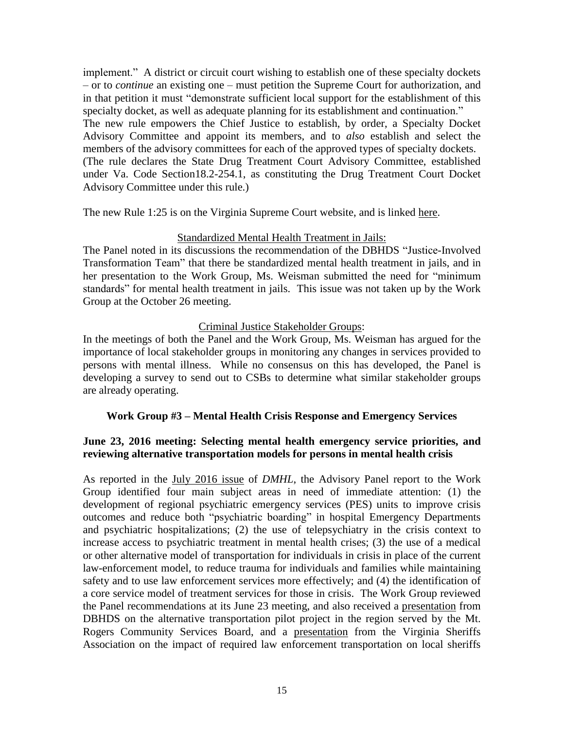implement." A district or circuit court wishing to establish one of these specialty dockets – or to *continue* an existing one – must petition the Supreme Court for authorization, and in that petition it must "demonstrate sufficient local support for the establishment of this specialty docket, as well as adequate planning for its establishment and continuation." The new rule empowers the Chief Justice to establish, by order, a Specialty Docket Advisory Committee and appoint its members, and to *also* establish and select the members of the advisory committees for each of the approved types of specialty dockets. (The rule declares the State Drug Treatment Court Advisory Committee, established under Va. Code Section18.2-254.1, as constituting the Drug Treatment Court Docket Advisory Committee under this rule.)

The new Rule 1:25 is on the Virginia Supreme Court website, and is linked [here.](http://www.courts.state.va.us/courts/scv/amendments/2016_1114_rule_1_25.pdf)

# Standardized Mental Health Treatment in Jails:

The Panel noted in its discussions the recommendation of the DBHDS "Justice-Involved Transformation Team" that there be standardized mental health treatment in jails, and in her presentation to the Work Group, Ms. Weisman submitted the need for "minimum standards" for mental health treatment in jails. This issue was not taken up by the Work Group at the October 26 meeting.

# Criminal Justice Stakeholder Groups:

In the meetings of both the Panel and the Work Group, Ms. Weisman has argued for the importance of local stakeholder groups in monitoring any changes in services provided to persons with mental illness. While no consensus on this has developed, the Panel is developing a survey to send out to CSBs to determine what similar stakeholder groups are already operating.

# **Work Group #3 – Mental Health Crisis Response and Emergency Services**

# **June 23, 2016 meeting: Selecting mental health emergency service priorities, and reviewing alternative transportation models for persons in mental health crisis**

As reported in the July 2016 [issue](http://www.ilppp.virginia.edu/PublicationsAndPolicy/Index) of *DMHL*, the Advisory Panel report to the Work Group identified four main subject areas in need of immediate attention: (1) the development of regional psychiatric emergency services (PES) units to improve crisis outcomes and reduce both "psychiatric boarding" in hospital Emergency Departments and psychiatric hospitalizations; (2) the use of telepsychiatry in the crisis context to increase access to psychiatric treatment in mental health crises; (3) the use of a medical or other alternative model of transportation for individuals in crisis in place of the current law-enforcement model, to reduce trauma for individuals and families while maintaining safety and to use law enforcement services more effectively; and (4) the identification of a core service model of treatment services for those in crisis. The Work Group reviewed the Panel recommendations at its June 23 meeting, and also received a [presentation](http://dls.virginia.gov/groups/mhs/8%20Alt%20Trans.pdf) from DBHDS on the alternative transportation pilot project in the region served by the Mt. Rogers Community Services Board, and a [presentation](http://dls.virginia.gov/groups/mhs/7%20VSA-pp.pdf) from the Virginia Sheriffs Association on the impact of required law enforcement transportation on local sheriffs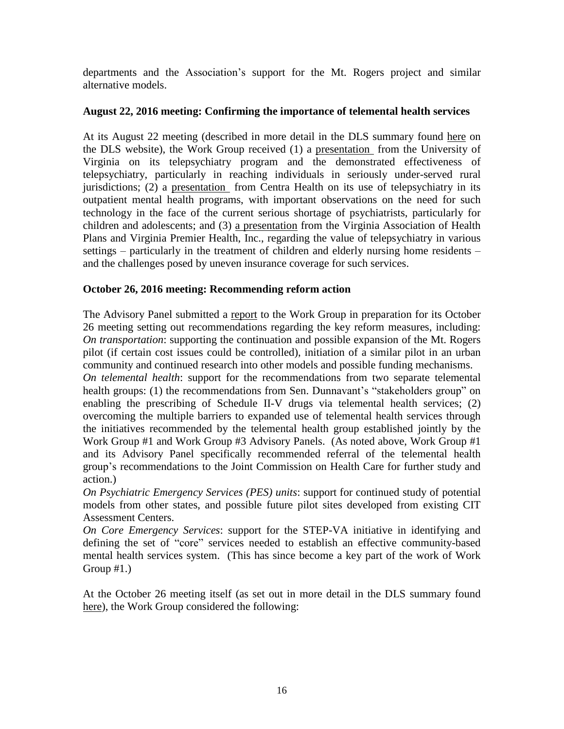departments and the Association's support for the Mt. Rogers project and similar alternative models.

# **August 22, 2016 meeting: Confirming the importance of telemental health services**

At its August 22 meeting (described in more detail in the DLS summary found [here](http://dls.virginia.gov/GROUPS/MHS/sm082216wg3.pdf) on the DLS website), the Work Group received (1) a [presentation](http://dls.virginia.gov/groups/mhs/telepsychiatry082216.pdf) from the University of Virginia on its telepsychiatry program and the demonstrated effectiveness of telepsychiatry, particularly in reaching individuals in seriously under-served rural jurisdictions; (2) a [presentation](http://dls.virginia.gov/groups/mhs/centre082216.pdf) from Centra Health on its use of telepsychiatry in its outpatient mental health programs, with important observations on the need for such technology in the face of the current serious shortage of psychiatrists, particularly for children and adolescents; and (3) a [presentation](http://dls.virginia.gov/groups/mhs/vahp082216.pdf) from the Virginia Association of Health Plans and Virginia Premier Health, Inc., regarding the value of telepsychiatry in various settings – particularly in the treatment of children and elderly nursing home residents – and the challenges posed by uneven insurance coverage for such services.

# **October 26, 2016 meeting: Recommending reform action**

The Advisory Panel submitted a [report](http://dls.virginia.gov/groups/mhs/ap%20report.pdf) to the Work Group in preparation for its October 26 meeting setting out recommendations regarding the key reform measures, including: *On transportation*: supporting the continuation and possible expansion of the Mt. Rogers pilot (if certain cost issues could be controlled), initiation of a similar pilot in an urban community and continued research into other models and possible funding mechanisms.

*On telemental health*: support for the recommendations from two separate telemental health groups: (1) the recommendations from Sen. Dunnavant's "stakeholders group" on enabling the prescribing of Schedule II-V drugs via telemental health services; (2) overcoming the multiple barriers to expanded use of telemental health services through the initiatives recommended by the telemental health group established jointly by the Work Group #1 and Work Group #3 Advisory Panels. (As noted above, Work Group #1 and its Advisory Panel specifically recommended referral of the telemental health group's recommendations to the Joint Commission on Health Care for further study and action.)

*On Psychiatric Emergency Services (PES) units*: support for continued study of potential models from other states, and possible future pilot sites developed from existing CIT Assessment Centers.

*On Core Emergency Services*: support for the STEP-VA initiative in identifying and defining the set of "core" services needed to establish an effective community-based mental health services system. (This has since become a key part of the work of Work Group  $#1.$ )

At the October 26 meeting itself (as set out in more detail in the DLS summary found [here\)](http://dls.virginia.gov/GROUPS/MHS/sm102616wg3.pdf), the Work Group considered the following: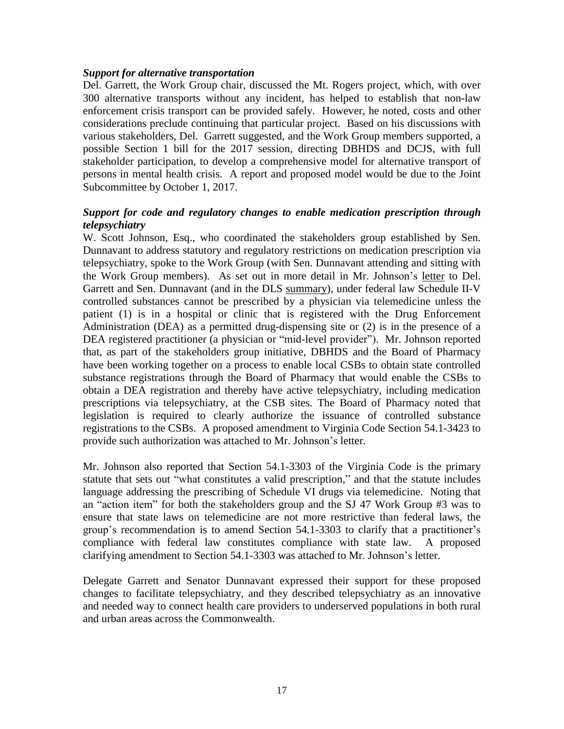# *Support for alternative transportation*

Del. Garrett, the Work Group chair, discussed the Mt. Rogers project, which, with over 300 alternative transports without any incident, has helped to establish that non-law enforcement crisis transport can be provided safely. However, he noted, costs and other considerations preclude continuing that particular project. Based on his discussions with various stakeholders, Del. Garrett suggested, and the Work Group members supported, a possible Section 1 bill for the 2017 session, directing DBHDS and DCJS, with full stakeholder participation, to develop a comprehensive model for alternative transport of persons in mental health crisis. A report and proposed model would be due to the Joint Subcommittee by October 1, 2017.

# *Support for code and regulatory changes to enable medication prescription through telepsychiatry*

W. Scott Johnson, Esq., who coordinated the stakeholders group established by Sen. Dunnavant to address statutory and regulatory restrictions on medication prescription via telepsychiatry, spoke to the Work Group (with Sen. Dunnavant attending and sitting with the Work Group members). As set out in more detail in Mr. Johnson's [letter](http://dls.virginia.gov/groups/mhs/telemedicine%20letter.pdf) to Del. Garrett and Sen. Dunnavant (and in the DLS [summary\)](http://dls.virginia.gov/GROUPS/MHS/sm102616wg3.pdf), under federal law Schedule II-V controlled substances cannot be prescribed by a physician via telemedicine unless the patient (1) is in a hospital or clinic that is registered with the Drug Enforcement Administration (DEA) as a permitted drug-dispensing site or (2) is in the presence of a DEA registered practitioner (a physician or "mid-level provider"). Mr. Johnson reported that, as part of the stakeholders group initiative, DBHDS and the Board of Pharmacy have been working together on a process to enable local CSBs to obtain state controlled substance registrations through the Board of Pharmacy that would enable the CSBs to obtain a DEA registration and thereby have active telepsychiatry, including medication prescriptions via telepsychiatry, at the CSB sites. The Board of Pharmacy noted that legislation is required to clearly authorize the issuance of controlled substance registrations to the CSBs. A proposed amendment to Virginia Code Section 54.1-3423 to provide such authorization was attached to Mr. Johnson's letter.

Mr. Johnson also reported that Section 54.1-3303 of the Virginia Code is the primary statute that sets out "what constitutes a valid prescription," and that the statute includes language addressing the prescribing of Schedule VI drugs via telemedicine. Noting that an "action item" for both the stakeholders group and the SJ 47 Work Group #3 was to ensure that state laws on telemedicine are not more restrictive than federal laws, the group's recommendation is to amend Section 54.1-3303 to clarify that a practitioner's compliance with federal law constitutes compliance with state law. A proposed clarifying amendment to Section 54.1-3303 was attached to Mr. Johnson's letter.

Delegate Garrett and Senator Dunnavant expressed their support for these proposed changes to facilitate telepsychiatry, and they described telepsychiatry as an innovative and needed way to connect health care providers to underserved populations in both rural and urban areas across the Commonwealth.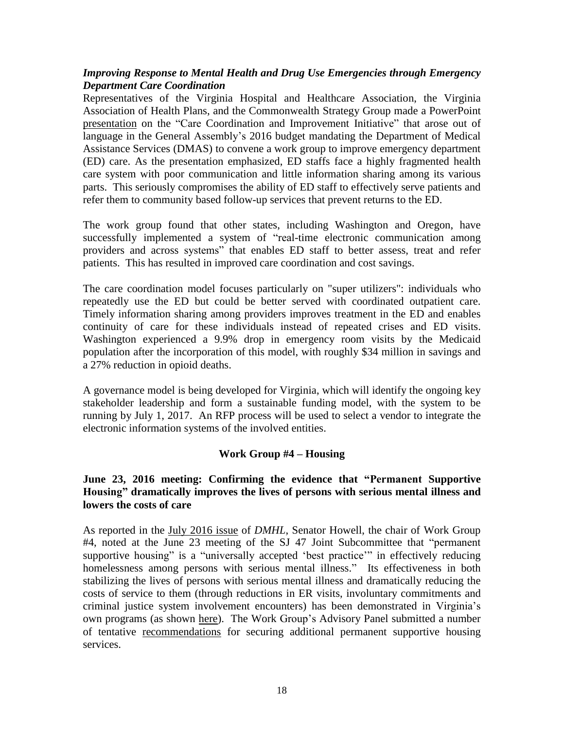# *Improving Response to Mental Health and Drug Use Emergencies through Emergency Department Care Coordination*

Representatives of the Virginia Hospital and Healthcare Association, the Virginia Association of Health Plans, and the Commonwealth Strategy Group made a PowerPoint [presentation](http://dls.virginia.gov/groups/mhs/care%20coodiniation.pdf) on the "Care Coordination and Improvement Initiative" that arose out of language in the General Assembly's 2016 budget mandating the Department of Medical Assistance Services (DMAS) to convene a work group to improve emergency department (ED) care. As the presentation emphasized, ED staffs face a highly fragmented health care system with poor communication and little information sharing among its various parts. This seriously compromises the ability of ED staff to effectively serve patients and refer them to community based follow-up services that prevent returns to the ED.

The work group found that other states, including Washington and Oregon, have successfully implemented a system of "real-time electronic communication among providers and across systems" that enables ED staff to better assess, treat and refer patients. This has resulted in improved care coordination and cost savings.

The care coordination model focuses particularly on "super utilizers": individuals who repeatedly use the ED but could be better served with coordinated outpatient care. Timely information sharing among providers improves treatment in the ED and enables continuity of care for these individuals instead of repeated crises and ED visits. Washington experienced a 9.9% drop in emergency room visits by the Medicaid population after the incorporation of this model, with roughly \$34 million in savings and a 27% reduction in opioid deaths.

A governance model is being developed for Virginia, which will identify the ongoing key stakeholder leadership and form a sustainable funding model, with the system to be running by July 1, 2017. An RFP process will be used to select a vendor to integrate the electronic information systems of the involved entities.

# **Work Group #4 – Housing**

# **June 23, 2016 meeting: Confirming the evidence that "Permanent Supportive Housing" dramatically improves the lives of persons with serious mental illness and lowers the costs of care**

As reported in the July [2016](http://www.ilppp.virginia.edu/PublicationsAndPolicy/Index) issue of *DMHL*, Senator Howell, the chair of Work Group #4, noted at the June 23 meeting of the SJ 47 Joint Subcommittee that "permanent supportive housing" is a "universally accepted 'best practice'" in effectively reducing homelessness among persons with serious mental illness." Its effectiveness in both stabilizing the lives of persons with serious mental illness and dramatically reducing the costs of service to them (through reductions in ER visits, involuntary commitments and criminal justice system involvement encounters) has been demonstrated in Virginia's own programs (as shown [here\)](http://dls.virginia.gov/groups/mhs/3%20PermHousing.pdf). The Work Group's Advisory Panel submitted a number of tentative [recommendations](http://dls.virginia.gov/groups/mhs/4%20Panel_topics.pdf) for securing additional permanent supportive housing services.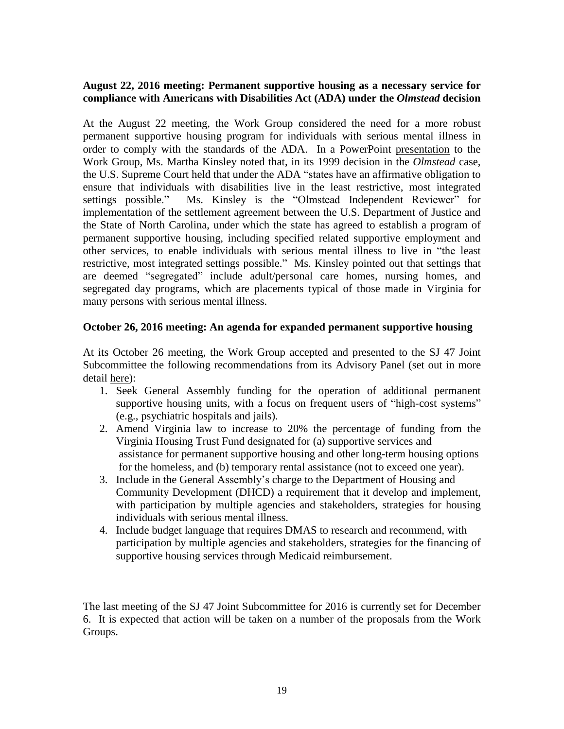# **August 22, 2016 meeting: Permanent supportive housing as a necessary service for compliance with Americans with Disabilities Act (ADA) under the** *Olmstead* **decision**

At the August 22 meeting, the Work Group considered the need for a more robust permanent supportive housing program for individuals with serious mental illness in order to comply with the standards of the ADA. In a PowerPoint [presentation](http://dls.virginia.gov/groups/mhs/olmstead_8_22_16.pdf) to the Work Group, Ms. Martha Kinsley noted that, in its 1999 decision in the *Olmstead* case, the U.S. Supreme Court held that under the ADA "states have an affirmative obligation to ensure that individuals with disabilities live in the least restrictive, most integrated settings possible." Ms. Kinsley is the "Olmstead Independent Reviewer" for implementation of the settlement agreement between the U.S. Department of Justice and the State of North Carolina, under which the state has agreed to establish a program of permanent supportive housing, including specified related supportive employment and other services, to enable individuals with serious mental illness to live in "the least restrictive, most integrated settings possible." Ms. Kinsley pointed out that settings that are deemed "segregated" include adult/personal care homes, nursing homes, and segregated day programs, which are placements typical of those made in Virginia for many persons with serious mental illness.

# **October 26, 2016 meeting: An agenda for expanded permanent supportive housing**

At its October 26 meeting, the Work Group accepted and presented to the SJ 47 Joint Subcommittee the following recommendations from its Advisory Panel (set out in more detail [here\)](http://dls.virginia.gov/groups/mhs/housing%20panel%20102616.pdf):

- 1. Seek General Assembly funding for the operation of additional permanent supportive housing units, with a focus on frequent users of "high-cost systems" (e.g., psychiatric hospitals and jails).
- 2. Amend Virginia law to increase to 20% the percentage of funding from the Virginia Housing Trust Fund designated for (a) supportive services and assistance for permanent supportive housing and other long-term housing options for the homeless, and (b) temporary rental assistance (not to exceed one year).
- 3. Include in the General Assembly's charge to the Department of Housing and Community Development (DHCD) a requirement that it develop and implement, with participation by multiple agencies and stakeholders, strategies for housing individuals with serious mental illness.
- 4. Include budget language that requires DMAS to research and recommend, with participation by multiple agencies and stakeholders, strategies for the financing of supportive housing services through Medicaid reimbursement.

The last meeting of the SJ 47 Joint Subcommittee for 2016 is currently set for December 6. It is expected that action will be taken on a number of the proposals from the Work Groups.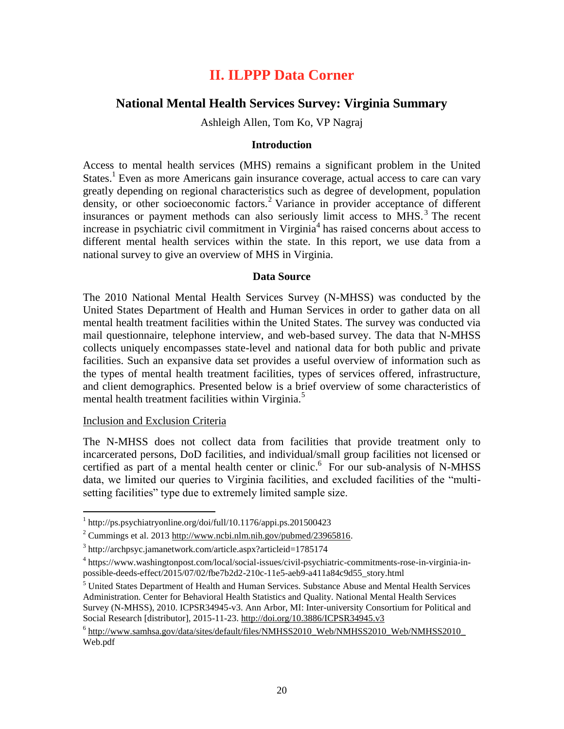# **II. ILPPP Data Corner**

# **National Mental Health Services Survey: Virginia Summary**

Ashleigh Allen, Tom Ko, VP Nagraj

# **Introduction**

Access to mental health services (MHS) remains a significant problem in the United States.<sup>1</sup> Even as more Americans gain insurance coverage, actual access to care can vary greatly depending on regional characteristics such as degree of development, population density, or other socioeconomic factors.<sup>2</sup> Variance in provider acceptance of different insurances or payment methods can also seriously limit access to MHS.<sup>3</sup> The recent increase in psychiatric civil commitment in Virginia<sup>4</sup> has raised concerns about access to different mental health services within the state. In this report, we use data from a national survey to give an overview of MHS in Virginia.

# **Data Source**

The 2010 National Mental Health Services Survey (N-MHSS) was conducted by the United States Department of Health and Human Services in order to gather data on all mental health treatment facilities within the United States. The survey was conducted via mail questionnaire, telephone interview, and web-based survey. The data that N-MHSS collects uniquely encompasses state-level and national data for both public and private facilities. Such an expansive data set provides a useful overview of information such as the types of mental health treatment facilities, types of services offered, infrastructure, and client demographics. Presented below is a brief overview of some characteristics of mental health treatment facilities within Virginia.<sup>5</sup>

#### Inclusion and Exclusion Criteria

 $\overline{a}$ 

The N-MHSS does not collect data from facilities that provide treatment only to incarcerated persons, DoD facilities, and individual/small group facilities not licensed or certified as part of a mental health center or clinic.<sup>6</sup> For our sub-analysis of N-MHSS data, we limited our queries to Virginia facilities, and excluded facilities of the "multisetting facilities" type due to extremely limited sample size.

<sup>1</sup> http://ps.psychiatryonline.org/doi/full/10.1176/appi.ps.201500423

<sup>&</sup>lt;sup>2</sup> Cummings et al. 201[3 http://www.ncbi.nlm.nih.gov/pubmed/23965816.](http://www.ncbi.nlm.nih.gov/pubmed/23965816)

<sup>&</sup>lt;sup>3</sup> http://archpsyc.jamanetwork.com/article.aspx?articleid=1785174

<sup>4</sup> https://www.washingtonpost.com/local/social-issues/civil-psychiatric-commitments-rose-in-virginia-inpossible-deeds-effect/2015/07/02/fbe7b2d2-210c-11e5-aeb9-a411a84c9d55\_story.html

<sup>&</sup>lt;sup>5</sup> United States Department of Health and Human Services. Substance Abuse and Mental Health Services Administration. Center for Behavioral Health Statistics and Quality. National Mental Health Services Survey (N-MHSS), 2010. ICPSR34945-v3. Ann Arbor, MI: Inter-university Consortium for Political and Social Research [distributor], 2015-11-23[. http://doi.org/10.3886/ICPSR34945.v3](http://doi.org/10.3886/ICPSR34945.v3)

<sup>&</sup>lt;sup>6</sup> [http://www.samhsa.gov/data/sites/default/files/NMHSS2010\\_Web/NMHSS2010\\_Web/NMHSS2010\\_](http://www.samhsa.gov/data/sites/default/files/NMHSS2010_Web/NMHSS2010_Web/NMHSS2010_) Web.pdf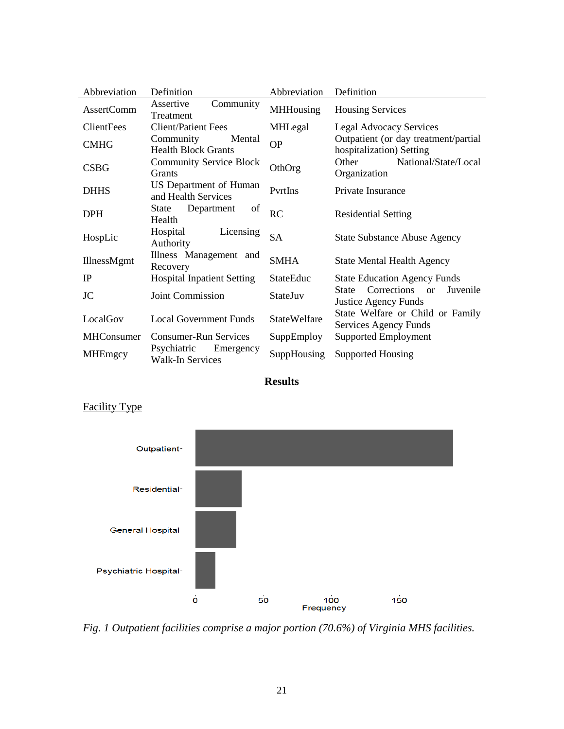| Abbreviation      | Definition                                          | Abbreviation        | Definition                                                                         |
|-------------------|-----------------------------------------------------|---------------------|------------------------------------------------------------------------------------|
| <b>AssertComm</b> | Assertive<br>Community<br>Treatment                 | <b>MHHousing</b>    | <b>Housing Services</b>                                                            |
| <b>ClientFees</b> | <b>Client/Patient Fees</b>                          | MHLegal             | <b>Legal Advocacy Services</b>                                                     |
| <b>CMHG</b>       | Community<br>Mental<br><b>Health Block Grants</b>   | <b>OP</b>           | Outpatient (or day treatment/partial<br>hospitalization) Setting                   |
| <b>CSBG</b>       | <b>Community Service Block</b><br>Grants            | OthOrg              | National/State/Local<br>Other<br>Organization                                      |
| <b>DHHS</b>       | US Department of Human<br>and Health Services       | PyrtIns             | Private Insurance                                                                  |
| <b>DPH</b>        | Department<br>State<br>of<br>Health                 | RC                  | <b>Residential Setting</b>                                                         |
| HospLic           | Hospital<br>Licensing<br>Authority                  | <b>SA</b>           | <b>State Substance Abuse Agency</b>                                                |
| IllnessMgmt       | Illness Management and<br>Recovery                  | <b>SMHA</b>         | <b>State Mental Health Agency</b>                                                  |
| IP                | <b>Hospital Inpatient Setting</b>                   | <b>StateEduc</b>    | <b>State Education Agency Funds</b>                                                |
| <b>JC</b>         | <b>Joint Commission</b>                             | StateJuv            | Corrections<br><b>State</b><br>Juvenile<br>$\alpha$<br><b>Justice Agency Funds</b> |
| LocalGov          | <b>Local Government Funds</b>                       | <b>StateWelfare</b> | State Welfare or Child or Family<br>Services Agency Funds                          |
| <b>MHConsumer</b> | <b>Consumer-Run Services</b>                        | SuppEmploy          | Supported Employment                                                               |
| <b>MHEmgcy</b>    | Psychiatric<br>Emergency<br><b>Walk-In Services</b> | SuppHousing         | <b>Supported Housing</b>                                                           |

**Results**



# Facility Type

*Fig. 1 Outpatient facilities comprise a major portion (70.6%) of Virginia MHS facilities.*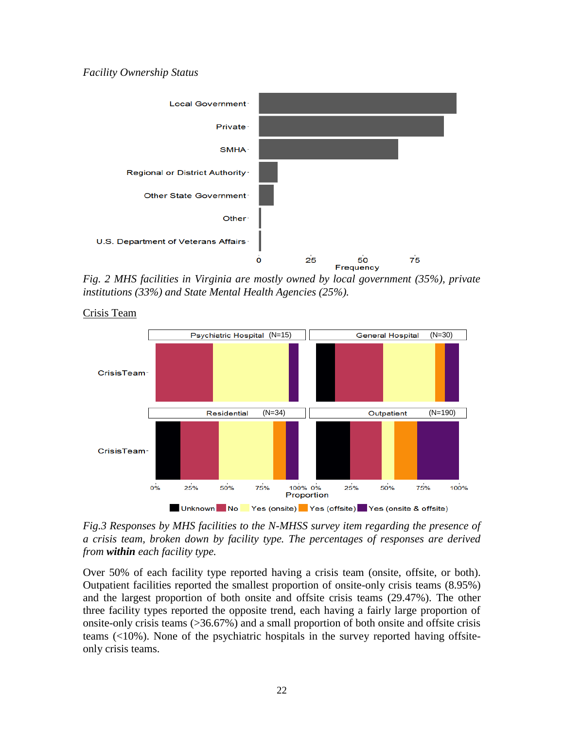# *Facility Ownership Status*



*Fig. 2 MHS facilities in Virginia are mostly owned by local government (35%), private institutions (33%) and State Mental Health Agencies (25%).*



Crisis Team

*Fig.3 Responses by MHS facilities to the N-MHSS survey item regarding the presence of a crisis team, broken down by facility type. The percentages of responses are derived from within each facility type.* 

Over 50% of each facility type reported having a crisis team (onsite, offsite, or both). Outpatient facilities reported the smallest proportion of onsite-only crisis teams (8.95%) and the largest proportion of both onsite and offsite crisis teams (29.47%). The other three facility types reported the opposite trend, each having a fairly large proportion of onsite-only crisis teams (>36.67%) and a small proportion of both onsite and offsite crisis teams (<10%). None of the psychiatric hospitals in the survey reported having offsiteonly crisis teams.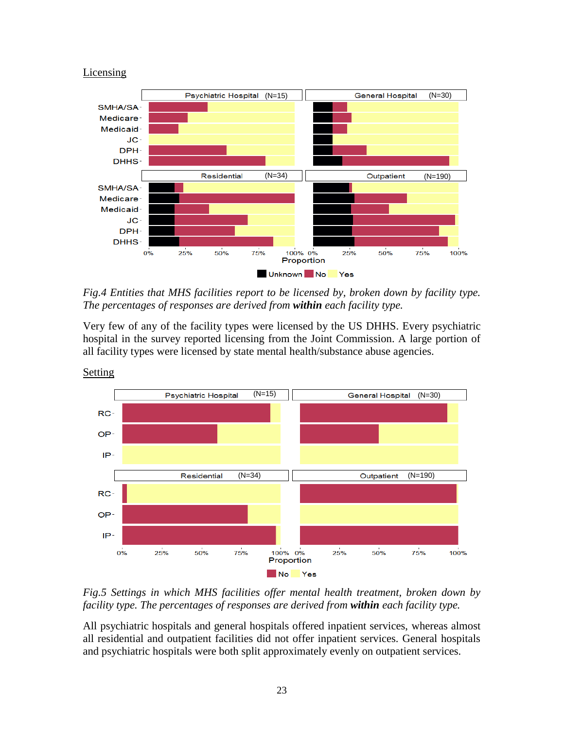#### Licensing



*Fig.4 Entities that MHS facilities report to be licensed by, broken down by facility type. The percentages of responses are derived from within each facility type.* 

Very few of any of the facility types were licensed by the US DHHS. Every psychiatric hospital in the survey reported licensing from the Joint Commission. A large portion of all facility types were licensed by state mental health/substance abuse agencies.



**Setting** 

*Fig.5 Settings in which MHS facilities offer mental health treatment, broken down by facility type. The percentages of responses are derived from within each facility type.* 

All psychiatric hospitals and general hospitals offered inpatient services, whereas almost all residential and outpatient facilities did not offer inpatient services. General hospitals and psychiatric hospitals were both split approximately evenly on outpatient services.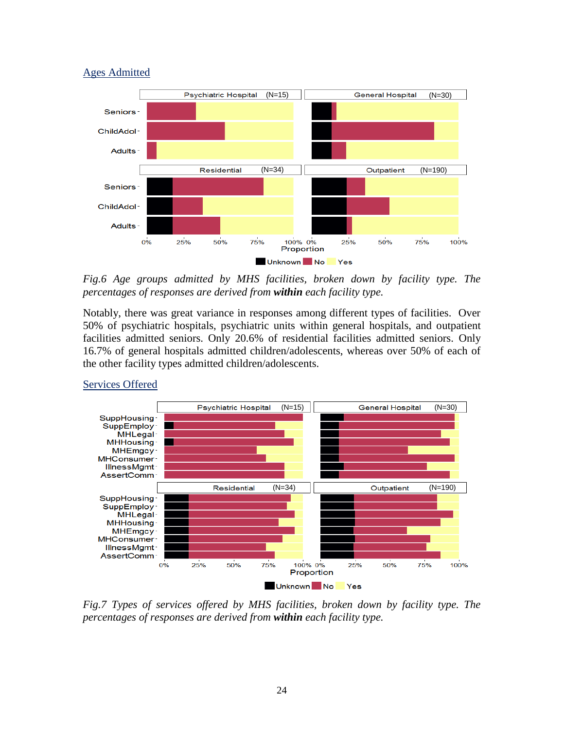# Ages Admitted



*Fig.6 Age groups admitted by MHS facilities, broken down by facility type. The percentages of responses are derived from within each facility type.*

Notably, there was great variance in responses among different types of facilities. Over 50% of psychiatric hospitals, psychiatric units within general hospitals, and outpatient facilities admitted seniors. Only 20.6% of residential facilities admitted seniors. Only 16.7% of general hospitals admitted children/adolescents, whereas over 50% of each of the other facility types admitted children/adolescents.



# Services Offered

*Fig.7 Types of services offered by MHS facilities, broken down by facility type. The percentages of responses are derived from within each facility type.*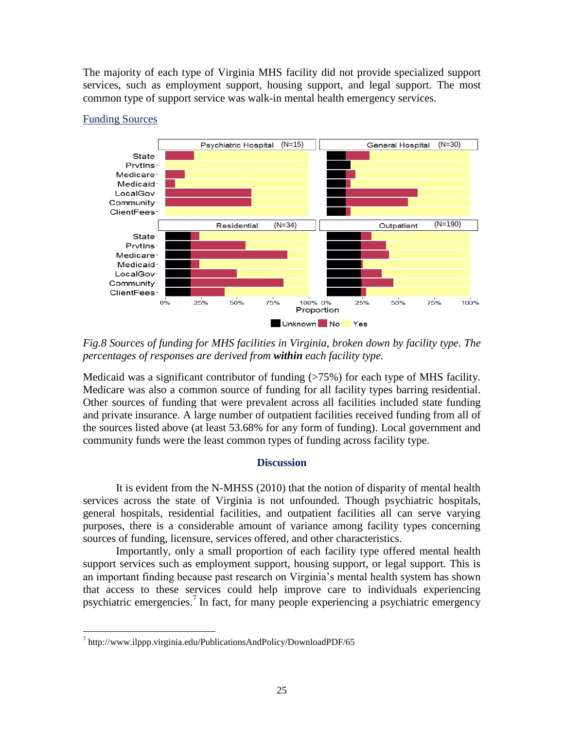The majority of each type of Virginia MHS facility did not provide specialized support services, such as employment support, housing support, and legal support. The most common type of support service was walk-in mental health emergency services.



# Funding Sources

*Fig.8 Sources of funding for MHS facilities in Virginia, broken down by facility type. The percentages of responses are derived from within each facility type.* 

Medicaid was a significant contributor of funding (>75%) for each type of MHS facility. Medicare was also a common source of funding for all facility types barring residential. Other sources of funding that were prevalent across all facilities included state funding and private insurance. A large number of outpatient facilities received funding from all of the sources listed above (at least 53.68% for any form of funding). Local government and community funds were the least common types of funding across facility type.

# **Discussion**

It is evident from the N-MHSS (2010) that the notion of disparity of mental health services across the state of Virginia is not unfounded. Though psychiatric hospitals, general hospitals, residential facilities, and outpatient facilities all can serve varying purposes, there is a considerable amount of variance among facility types concerning sources of funding, licensure, services offered, and other characteristics.

Importantly, only a small proportion of each facility type offered mental health support services such as employment support, housing support, or legal support. This is an important finding because past research on Virginia's mental health system has shown that access to these services could help improve care to individuals experiencing psychiatric emergencies.<sup>7</sup> In fact, for many people experiencing a psychiatric emergency

 $\overline{a}$ <sup>7</sup> http://www.ilppp.virginia.edu/PublicationsAndPolicy/DownloadPDF/65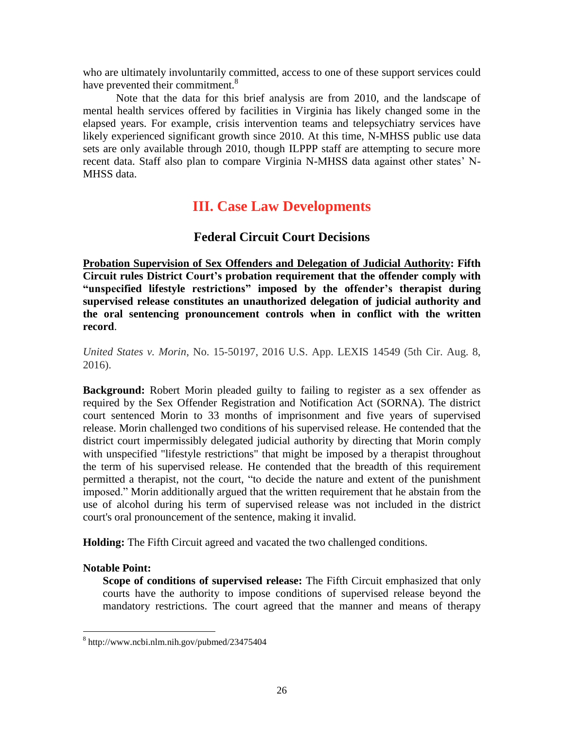who are ultimately involuntarily committed, access to one of these support services could have prevented their commitment.<sup>8</sup>

Note that the data for this brief analysis are from 2010, and the landscape of mental health services offered by facilities in Virginia has likely changed some in the elapsed years. For example, crisis intervention teams and telepsychiatry services have likely experienced significant growth since 2010. At this time, N-MHSS public use data sets are only available through 2010, though ILPPP staff are attempting to secure more recent data. Staff also plan to compare Virginia N-MHSS data against other states' N-MHSS data.

# **III. Case Law Developments**

# **Federal Circuit Court Decisions**

**Probation Supervision of Sex Offenders and Delegation of Judicial Authority: Fifth Circuit rules District Court's probation requirement that the offender comply with "unspecified lifestyle restrictions" imposed by the offender's therapist during supervised release constitutes an unauthorized delegation of judicial authority and the oral sentencing pronouncement controls when in conflict with the written record**.

*United States v. Morin*, No. 15-50197, 2016 U.S. App. LEXIS 14549 (5th Cir. Aug. 8, 2016).

**Background:** Robert Morin pleaded guilty to failing to register as a sex offender as required by the Sex Offender Registration and Notification Act (SORNA). The district court sentenced Morin to 33 months of imprisonment and five years of supervised release. Morin challenged two conditions of his supervised release. He contended that the district court impermissibly delegated judicial authority by directing that Morin comply with unspecified "lifestyle restrictions" that might be imposed by a therapist throughout the term of his supervised release. He contended that the breadth of this requirement permitted a therapist, not the court, "to decide the nature and extent of the punishment imposed." Morin additionally argued that the written requirement that he abstain from the use of alcohol during his term of supervised release was not included in the district court's oral pronouncement of the sentence, making it invalid.

**Holding:** The Fifth Circuit agreed and vacated the two challenged conditions.

# **Notable Point:**

 $\overline{a}$ 

**Scope of conditions of supervised release:** The Fifth Circuit emphasized that only courts have the authority to impose conditions of supervised release beyond the mandatory restrictions. The court agreed that the manner and means of therapy

<sup>8</sup> http://www.ncbi.nlm.nih.gov/pubmed/23475404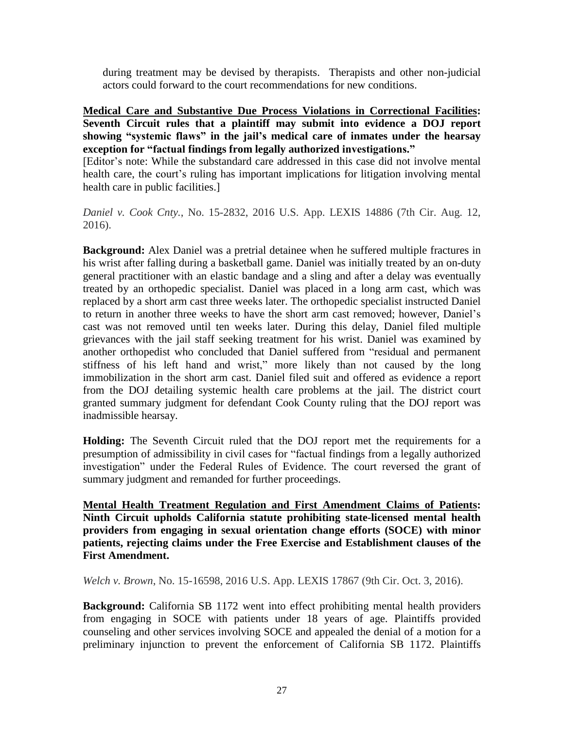during treatment may be devised by therapists. Therapists and other non-judicial actors could forward to the court recommendations for new conditions.

**Medical Care and Substantive Due Process Violations in Correctional Facilities: Seventh Circuit rules that a plaintiff may submit into evidence a DOJ report showing "systemic flaws" in the jail's medical care of inmates under the hearsay exception for "factual findings from legally authorized investigations."** [Editor's note: While the substandard care addressed in this case did not involve mental health care, the court's ruling has important implications for litigation involving mental

health care in public facilities.]

*Daniel v. Cook Cnty.*, No. 15-2832, 2016 U.S. App. LEXIS 14886 (7th Cir. Aug. 12, 2016).

**Background:** Alex Daniel was a pretrial detainee when he suffered multiple fractures in his wrist after falling during a basketball game. Daniel was initially treated by an on-duty general practitioner with an elastic bandage and a sling and after a delay was eventually treated by an orthopedic specialist. Daniel was placed in a long arm cast, which was replaced by a short arm cast three weeks later. The orthopedic specialist instructed Daniel to return in another three weeks to have the short arm cast removed; however, Daniel's cast was not removed until ten weeks later. During this delay, Daniel filed multiple grievances with the jail staff seeking treatment for his wrist. Daniel was examined by another orthopedist who concluded that Daniel suffered from "residual and permanent stiffness of his left hand and wrist," more likely than not caused by the long immobilization in the short arm cast. Daniel filed suit and offered as evidence a report from the DOJ detailing systemic health care problems at the jail. The district court granted summary judgment for defendant Cook County ruling that the DOJ report was inadmissible hearsay.

**Holding:** The Seventh Circuit ruled that the DOJ report met the requirements for a presumption of admissibility in civil cases for "factual findings from a legally authorized investigation" under the Federal Rules of Evidence. The court reversed the grant of summary judgment and remanded for further proceedings.

**Mental Health Treatment Regulation and First Amendment Claims of Patients: Ninth Circuit upholds California statute prohibiting state-licensed mental health providers from engaging in sexual orientation change efforts (SOCE) with minor patients, rejecting claims under the Free Exercise and Establishment clauses of the First Amendment.**

*Welch v. Brown*, No. 15-16598, 2016 U.S. App. LEXIS 17867 (9th Cir. Oct. 3, 2016).

**Background:** California SB 1172 went into effect prohibiting mental health providers from engaging in SOCE with patients under 18 years of age. Plaintiffs provided counseling and other services involving SOCE and appealed the denial of a motion for a preliminary injunction to prevent the enforcement of California SB 1172. Plaintiffs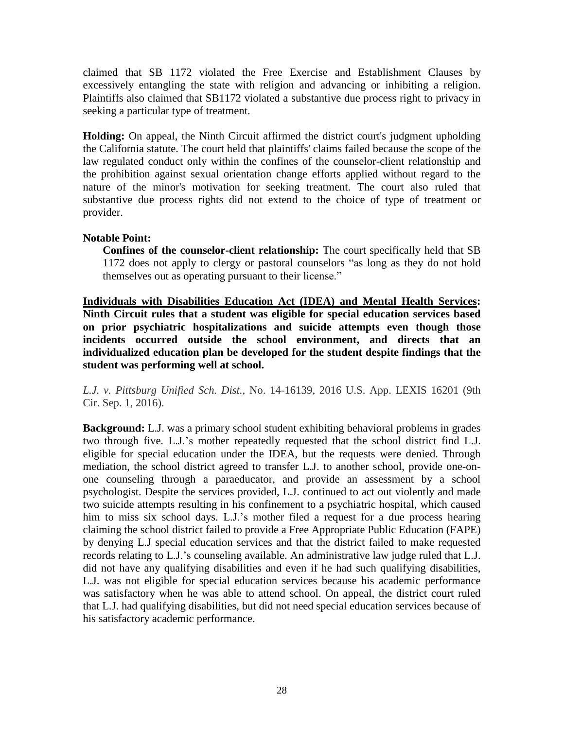claimed that SB 1172 violated the Free Exercise and Establishment Clauses by excessively entangling the state with religion and advancing or inhibiting a religion. Plaintiffs also claimed that SB1172 violated a substantive due process right to privacy in seeking a particular type of treatment.

**Holding:** On appeal, the Ninth Circuit affirmed the district court's judgment upholding the California statute. The court held that plaintiffs' claims failed because the scope of the law regulated conduct only within the confines of the counselor-client relationship and the prohibition against sexual orientation change efforts applied without regard to the nature of the minor's motivation for seeking treatment. The court also ruled that substantive due process rights did not extend to the choice of type of treatment or provider.

# **Notable Point:**

**Confines of the counselor-client relationship:** The court specifically held that SB 1172 does not apply to clergy or pastoral counselors "as long as they do not hold themselves out as operating pursuant to their license."

**Individuals with Disabilities Education Act (IDEA) and Mental Health Services: Ninth Circuit rules that a student was eligible for special education services based on prior psychiatric hospitalizations and suicide attempts even though those incidents occurred outside the school environment, and directs that an individualized education plan be developed for the student despite findings that the student was performing well at school.**

*L.J. v. Pittsburg Unified Sch. Dist.*, No. 14-16139, 2016 U.S. App. LEXIS 16201 (9th Cir. Sep. 1, 2016).

**Background:** L.J. was a primary school student exhibiting behavioral problems in grades two through five. L.J.'s mother repeatedly requested that the school district find L.J. eligible for special education under the IDEA, but the requests were denied. Through mediation, the school district agreed to transfer L.J. to another school, provide one-onone counseling through a paraeducator, and provide an assessment by a school psychologist. Despite the services provided, L.J. continued to act out violently and made two suicide attempts resulting in his confinement to a psychiatric hospital, which caused him to miss six school days. L.J.'s mother filed a request for a due process hearing claiming the school district failed to provide a Free Appropriate Public Education (FAPE) by denying L.J special education services and that the district failed to make requested records relating to L.J.'s counseling available. An administrative law judge ruled that L.J. did not have any qualifying disabilities and even if he had such qualifying disabilities, L.J. was not eligible for special education services because his academic performance was satisfactory when he was able to attend school. On appeal, the district court ruled that L.J. had qualifying disabilities, but did not need special education services because of his satisfactory academic performance.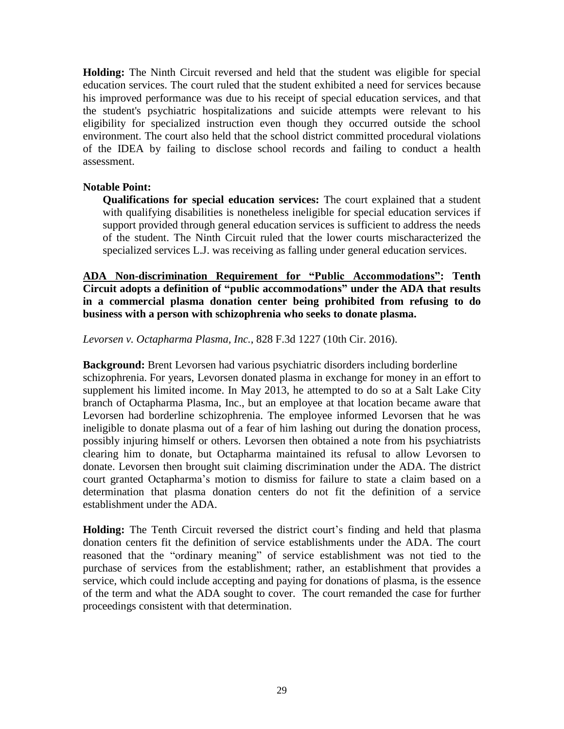**Holding:** The Ninth Circuit reversed and held that the student was eligible for special education services. The court ruled that the student exhibited a need for services because his improved performance was due to his receipt of special education services, and that the student's psychiatric hospitalizations and suicide attempts were relevant to his eligibility for specialized instruction even though they occurred outside the school environment. The court also held that the school district committed procedural violations of the IDEA by failing to disclose school records and failing to conduct a health assessment.

# **Notable Point:**

**Qualifications for special education services:** The court explained that a student with qualifying disabilities is nonetheless ineligible for special education services if support provided through general education services is sufficient to address the needs of the student. The Ninth Circuit ruled that the lower courts mischaracterized the specialized services L.J. was receiving as falling under general education services.

**ADA Non-discrimination Requirement for "Public Accommodations": Tenth Circuit adopts a definition of "public accommodations" under the ADA that results in a commercial plasma donation center being prohibited from refusing to do business with a person with schizophrenia who seeks to donate plasma.**

*Levorsen v. Octapharma Plasma, Inc.*, 828 F.3d 1227 (10th Cir. 2016).

**Background:** Brent Levorsen had various psychiatric disorders including borderline schizophrenia. For years, Levorsen donated plasma in exchange for money in an effort to supplement his limited income. In May 2013, he attempted to do so at a Salt Lake City branch of Octapharma Plasma, Inc., but an employee at that location became aware that Levorsen had borderline schizophrenia. The employee informed Levorsen that he was ineligible to donate plasma out of a fear of him lashing out during the donation process, possibly injuring himself or others. Levorsen then obtained a note from his psychiatrists clearing him to donate, but Octapharma maintained its refusal to allow Levorsen to donate. Levorsen then brought suit claiming discrimination under the ADA. The district court granted Octapharma's motion to dismiss for failure to state a claim based on a determination that plasma donation centers do not fit the definition of a service establishment under the ADA.

**Holding:** The Tenth Circuit reversed the district court's finding and held that plasma donation centers fit the definition of service establishments under the ADA. The court reasoned that the "ordinary meaning" of service establishment was not tied to the purchase of services from the establishment; rather, an establishment that provides a service, which could include accepting and paying for donations of plasma, is the essence of the term and what the ADA sought to cover. The court remanded the case for further proceedings consistent with that determination.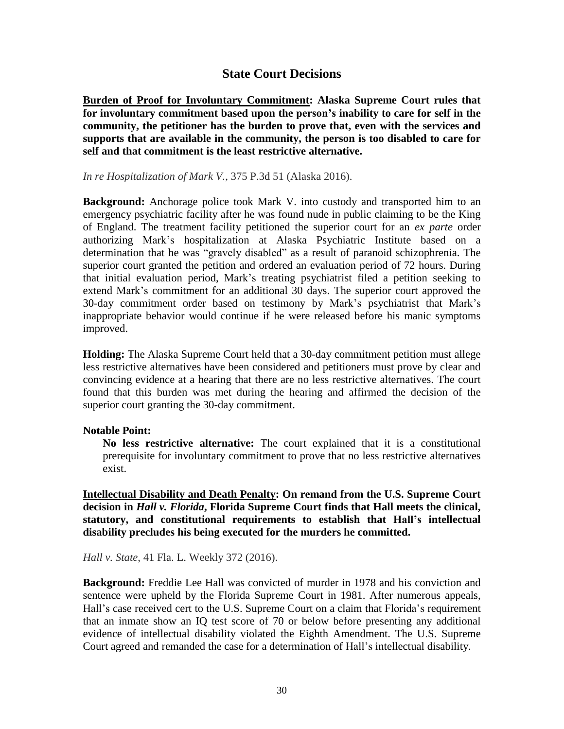# **State Court Decisions**

**Burden of Proof for Involuntary Commitment: Alaska Supreme Court rules that for involuntary commitment based upon the person's inability to care for self in the community, the petitioner has the burden to prove that, even with the services and supports that are available in the community, the person is too disabled to care for self and that commitment is the least restrictive alternative.**

# *In re Hospitalization of Mark V.*, 375 P.3d 51 (Alaska 2016).

**Background:** Anchorage police took Mark V. into custody and transported him to an emergency psychiatric facility after he was found nude in public claiming to be the King of England. The treatment facility petitioned the superior court for an *ex parte* order authorizing Mark's hospitalization at Alaska Psychiatric Institute based on a determination that he was "gravely disabled" as a result of paranoid schizophrenia. The superior court granted the petition and ordered an evaluation period of 72 hours. During that initial evaluation period, Mark's treating psychiatrist filed a petition seeking to extend Mark's commitment for an additional 30 days. The superior court approved the 30-day commitment order based on testimony by Mark's psychiatrist that Mark's inappropriate behavior would continue if he were released before his manic symptoms improved.

**Holding:** The Alaska Supreme Court held that a 30-day commitment petition must allege less restrictive alternatives have been considered and petitioners must prove by clear and convincing evidence at a hearing that there are no less restrictive alternatives. The court found that this burden was met during the hearing and affirmed the decision of the superior court granting the 30-day commitment.

# **Notable Point:**

**No less restrictive alternative:** The court explained that it is a constitutional prerequisite for involuntary commitment to prove that no less restrictive alternatives exist.

**Intellectual Disability and Death Penalty: On remand from the U.S. Supreme Court decision in** *Hall v. Florida***, Florida Supreme Court finds that Hall meets the clinical, statutory, and constitutional requirements to establish that Hall's intellectual disability precludes his being executed for the murders he committed.**

# *Hall v. State*, 41 Fla. L. Weekly 372 (2016).

**Background:** Freddie Lee Hall was convicted of murder in 1978 and his conviction and sentence were upheld by the Florida Supreme Court in 1981. After numerous appeals, Hall's case received cert to the U.S. Supreme Court on a claim that Florida's requirement that an inmate show an IQ test score of 70 or below before presenting any additional evidence of intellectual disability violated the Eighth Amendment. The U.S. Supreme Court agreed and remanded the case for a determination of Hall's intellectual disability.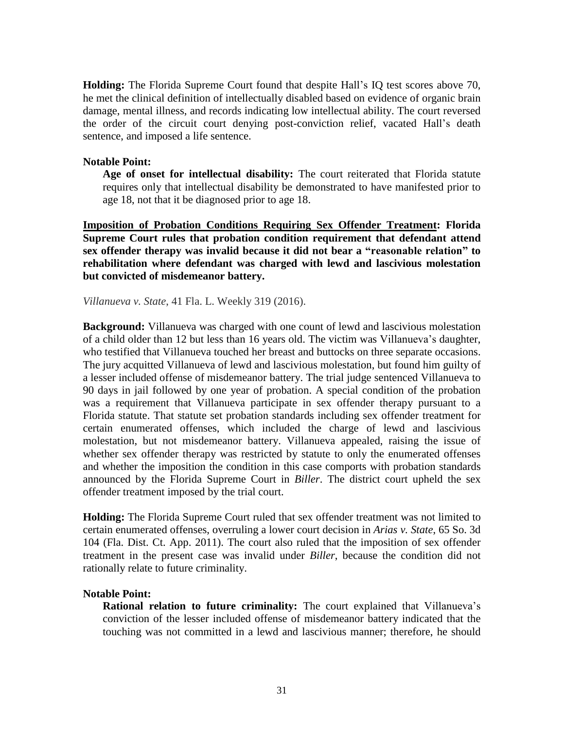**Holding:** The Florida Supreme Court found that despite Hall's IQ test scores above 70, he met the clinical definition of intellectually disabled based on evidence of organic brain damage, mental illness, and records indicating low intellectual ability. The court reversed the order of the circuit court denying post-conviction relief, vacated Hall's death sentence, and imposed a life sentence.

# **Notable Point:**

**Age of onset for intellectual disability:** The court reiterated that Florida statute requires only that intellectual disability be demonstrated to have manifested prior to age 18, not that it be diagnosed prior to age 18.

**Imposition of Probation Conditions Requiring Sex Offender Treatment: Florida Supreme Court rules that probation condition requirement that defendant attend sex offender therapy was invalid because it did not bear a "reasonable relation" to rehabilitation where defendant was charged with lewd and lascivious molestation but convicted of misdemeanor battery.**

*Villanueva v. State*, 41 Fla. L. Weekly 319 (2016).

**Background:** Villanueva was charged with one count of lewd and lascivious molestation of a child older than 12 but less than 16 years old. The victim was Villanueva's daughter, who testified that Villanueva touched her breast and buttocks on three separate occasions. The jury acquitted Villanueva of lewd and lascivious molestation, but found him guilty of a lesser included offense of misdemeanor battery. The trial judge sentenced Villanueva to 90 days in jail followed by one year of probation. A special condition of the probation was a requirement that Villanueva participate in sex offender therapy pursuant to a Florida statute. That statute set probation standards including sex offender treatment for certain enumerated offenses, which included the charge of lewd and lascivious molestation, but not misdemeanor battery. Villanueva appealed, raising the issue of whether sex offender therapy was restricted by statute to only the enumerated offenses and whether the imposition the condition in this case comports with probation standards announced by the Florida Supreme Court in *Biller*. The district court upheld the sex offender treatment imposed by the trial court.

**Holding:** The Florida Supreme Court ruled that sex offender treatment was not limited to certain enumerated offenses, overruling a lower court decision in *Arias v. State*, 65 So. 3d 104 (Fla. Dist. Ct. App. 2011). The court also ruled that the imposition of sex offender treatment in the present case was invalid under *Biller*, because the condition did not rationally relate to future criminality.

# **Notable Point:**

**Rational relation to future criminality:** The court explained that Villanueva's conviction of the lesser included offense of misdemeanor battery indicated that the touching was not committed in a lewd and lascivious manner; therefore, he should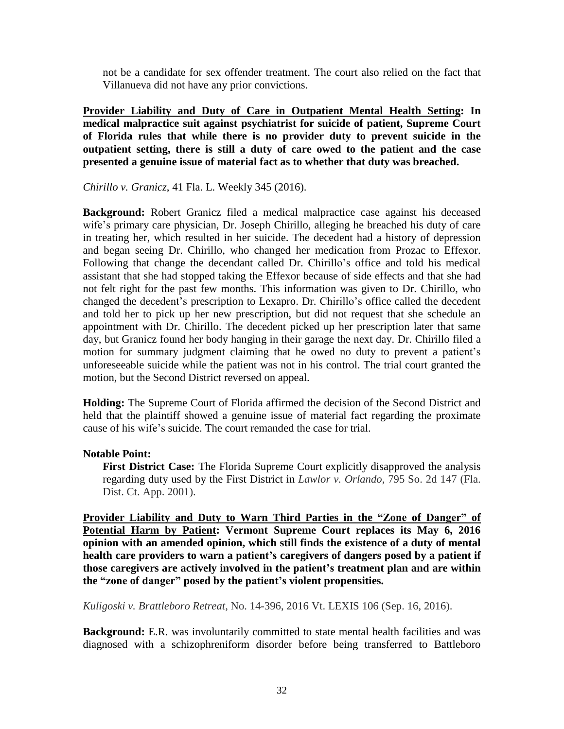not be a candidate for sex offender treatment. The court also relied on the fact that Villanueva did not have any prior convictions.

**Provider Liability and Duty of Care in Outpatient Mental Health Setting: In medical malpractice suit against psychiatrist for suicide of patient, Supreme Court of Florida rules that while there is no provider duty to prevent suicide in the outpatient setting, there is still a duty of care owed to the patient and the case presented a genuine issue of material fact as to whether that duty was breached.**

*Chirillo v. Granicz*, 41 Fla. L. Weekly 345 (2016).

**Background:** Robert Granicz filed a medical malpractice case against his deceased wife's primary care physician, Dr. Joseph Chirillo, alleging he breached his duty of care in treating her, which resulted in her suicide. The decedent had a history of depression and began seeing Dr. Chirillo, who changed her medication from Prozac to Effexor. Following that change the decendant called Dr. Chirillo's office and told his medical assistant that she had stopped taking the Effexor because of side effects and that she had not felt right for the past few months. This information was given to Dr. Chirillo, who changed the decedent's prescription to Lexapro. Dr. Chirillo's office called the decedent and told her to pick up her new prescription, but did not request that she schedule an appointment with Dr. Chirillo. The decedent picked up her prescription later that same day, but Granicz found her body hanging in their garage the next day. Dr. Chirillo filed a motion for summary judgment claiming that he owed no duty to prevent a patient's unforeseeable suicide while the patient was not in his control. The trial court granted the motion, but the Second District reversed on appeal.

**Holding:** The Supreme Court of Florida affirmed the decision of the Second District and held that the plaintiff showed a genuine issue of material fact regarding the proximate cause of his wife's suicide. The court remanded the case for trial.

# **Notable Point:**

**First District Case:** The Florida Supreme Court explicitly disapproved the analysis regarding duty used by the First District in *Lawlor v. Orlando*, 795 So. 2d 147 (Fla. Dist. Ct. App. 2001).

**Provider Liability and Duty to Warn Third Parties in the "Zone of Danger" of Potential Harm by Patient: Vermont Supreme Court replaces its May 6, 2016 opinion with an amended opinion, which still finds the existence of a duty of mental health care providers to warn a patient's caregivers of dangers posed by a patient if those caregivers are actively involved in the patient's treatment plan and are within the "zone of danger" posed by the patient's violent propensities.**

*Kuligoski v. Brattleboro Retreat*, No. 14-396, 2016 Vt. LEXIS 106 (Sep. 16, 2016).

**Background:** E.R. was involuntarily committed to state mental health facilities and was diagnosed with a schizophreniform disorder before being transferred to Battleboro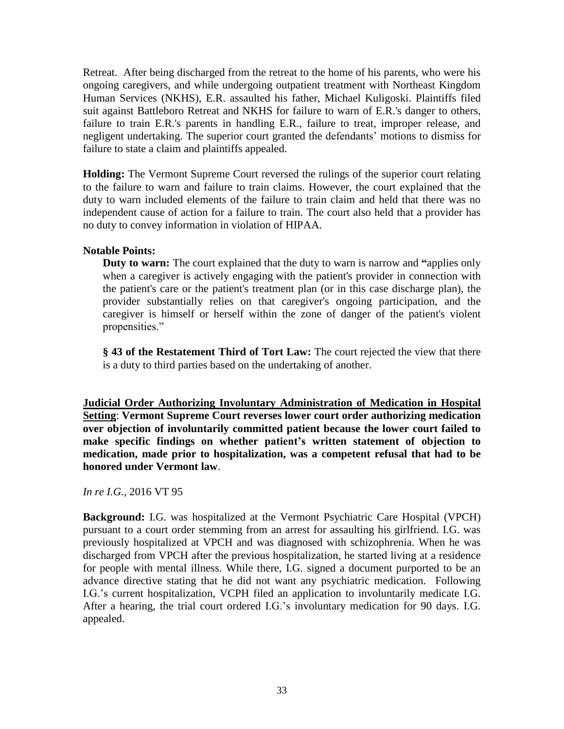Retreat. After being discharged from the retreat to the home of his parents, who were his ongoing caregivers, and while undergoing outpatient treatment with Northeast Kingdom Human Services (NKHS), E.R. assaulted his father, Michael Kuligoski. Plaintiffs filed suit against Battleboro Retreat and NKHS for failure to warn of E.R.'s danger to others, failure to train E.R.'s parents in handling E.R., failure to treat, improper release, and negligent undertaking. The superior court granted the defendants' motions to dismiss for failure to state a claim and plaintiffs appealed.

**Holding:** The Vermont Supreme Court reversed the rulings of the superior court relating to the failure to warn and failure to train claims. However, the court explained that the duty to warn included elements of the failure to train claim and held that there was no independent cause of action for a failure to train. The court also held that a provider has no duty to convey information in violation of HIPAA.

# **Notable Points:**

**Duty to warn:** The court explained that the duty to warn is narrow and **"**applies only when a caregiver is actively engaging with the patient's provider in connection with the patient's care or the patient's treatment plan (or in this case discharge plan), the provider substantially relies on that caregiver's ongoing participation, and the caregiver is himself or herself within the zone of danger of the patient's violent propensities."

**§ 43 of the Restatement Third of Tort Law:** The court rejected the view that there is a duty to third parties based on the undertaking of another.

**Judicial Order Authorizing Involuntary Administration of Medication in Hospital Setting**: **Vermont Supreme Court reverses lower court order authorizing medication over objection of involuntarily committed patient because the lower court failed to make specific findings on whether patient's written statement of objection to medication, made prior to hospitalization, was a competent refusal that had to be honored under Vermont law**.

*In re I.G.*, 2016 VT 95

**Background:** I.G. was hospitalized at the Vermont Psychiatric Care Hospital (VPCH) pursuant to a court order stemming from an arrest for assaulting his girlfriend. I.G. was previously hospitalized at VPCH and was diagnosed with schizophrenia. When he was discharged from VPCH after the previous hospitalization, he started living at a residence for people with mental illness. While there, I.G. signed a document purported to be an advance directive stating that he did not want any psychiatric medication. Following I.G.'s current hospitalization, VCPH filed an application to involuntarily medicate I.G. After a hearing, the trial court ordered I.G.'s involuntary medication for 90 days. I.G. appealed.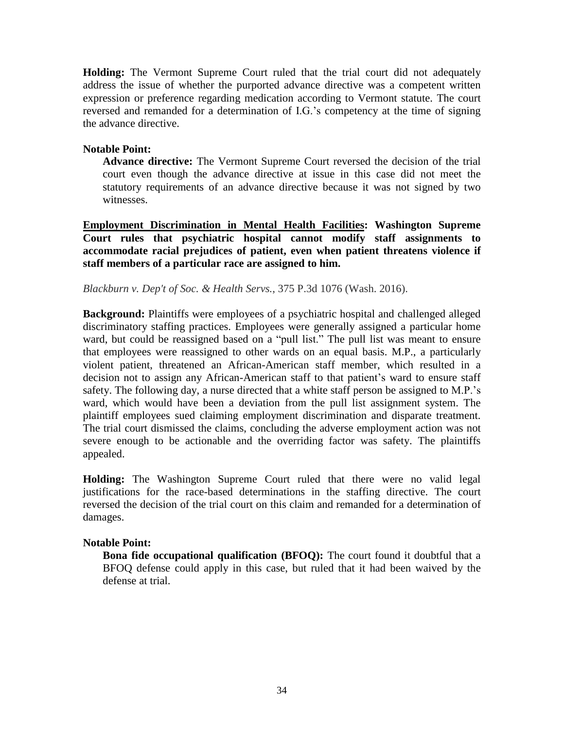**Holding:** The Vermont Supreme Court ruled that the trial court did not adequately address the issue of whether the purported advance directive was a competent written expression or preference regarding medication according to Vermont statute. The court reversed and remanded for a determination of I.G.'s competency at the time of signing the advance directive.

# **Notable Point:**

**Advance directive:** The Vermont Supreme Court reversed the decision of the trial court even though the advance directive at issue in this case did not meet the statutory requirements of an advance directive because it was not signed by two witnesses.

**Employment Discrimination in Mental Health Facilities: Washington Supreme Court rules that psychiatric hospital cannot modify staff assignments to accommodate racial prejudices of patient, even when patient threatens violence if staff members of a particular race are assigned to him.**

# *Blackburn v. Dep't of Soc. & Health Servs.*, 375 P.3d 1076 (Wash. 2016).

**Background:** Plaintiffs were employees of a psychiatric hospital and challenged alleged discriminatory staffing practices. Employees were generally assigned a particular home ward, but could be reassigned based on a "pull list." The pull list was meant to ensure that employees were reassigned to other wards on an equal basis. M.P., a particularly violent patient, threatened an African-American staff member, which resulted in a decision not to assign any African-American staff to that patient's ward to ensure staff safety. The following day, a nurse directed that a white staff person be assigned to M.P.'s ward, which would have been a deviation from the pull list assignment system. The plaintiff employees sued claiming employment discrimination and disparate treatment. The trial court dismissed the claims, concluding the adverse employment action was not severe enough to be actionable and the overriding factor was safety. The plaintiffs appealed.

**Holding:** The Washington Supreme Court ruled that there were no valid legal justifications for the race-based determinations in the staffing directive. The court reversed the decision of the trial court on this claim and remanded for a determination of damages.

# **Notable Point:**

**Bona fide occupational qualification (BFOQ):** The court found it doubtful that a BFOQ defense could apply in this case, but ruled that it had been waived by the defense at trial.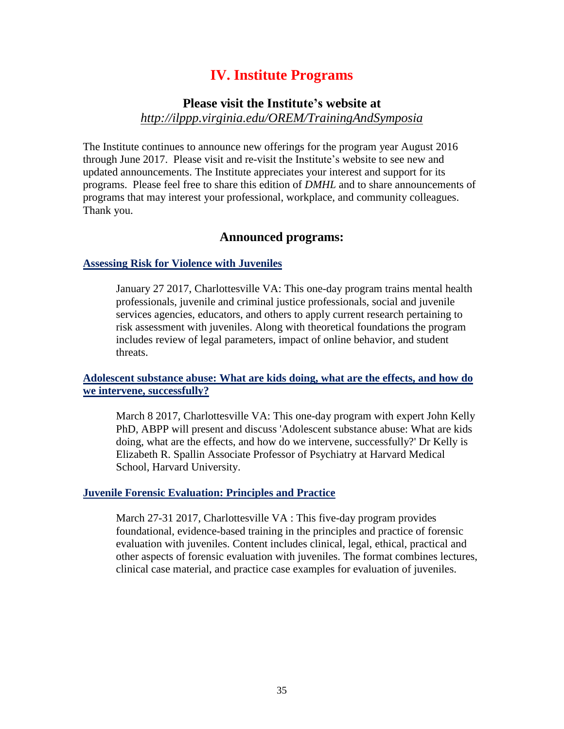# **IV. Institute Programs**

# **Please visit the Institute's website at** *<http://ilppp.virginia.edu/OREM/TrainingAndSymposia>*

The Institute continues to announce new offerings for the program year August 2016 through June 2017. Please visit and re-visit the Institute's website to see new and updated announcements. The Institute appreciates your interest and support for its programs. Please feel free to share this edition of *DMHL* and to share announcements of programs that may interest your professional, workplace, and community colleagues. Thank you.

# **Announced programs:**

# **[Assessing Risk for Violence with Juveniles](http://www.ilppp.virginia.edu/OREM/JuvenilePrograms/Course/96)**

January 27 2017, Charlottesville VA: This one-day program trains mental health professionals, juvenile and criminal justice professionals, social and juvenile services agencies, educators, and others to apply current research pertaining to risk assessment with juveniles. Along with theoretical foundations the program includes review of legal parameters, impact of online behavior, and student threats.

# **[Adolescent substance abuse: What are kids doing, what are the effects, and how do](http://www.ilppp.virginia.edu/OREM/JuvenilePrograms/Course/98)  [we intervene, successfully?](http://www.ilppp.virginia.edu/OREM/JuvenilePrograms/Course/98)**

March 8 2017, Charlottesville VA: This one-day program with expert John Kelly PhD, ABPP will present and discuss 'Adolescent substance abuse: What are kids doing, what are the effects, and how do we intervene, successfully?' Dr Kelly is Elizabeth R. Spallin Associate Professor of Psychiatry at Harvard Medical School, Harvard University.

#### **[Juvenile Forensic Evaluation: Principles and Practice](http://www.ilppp.virginia.edu/OREM/JuvenilePrograms/Course/93)**

March 27-31 2017, Charlottesville VA : This five-day program provides foundational, evidence-based training in the principles and practice of forensic evaluation with juveniles. Content includes clinical, legal, ethical, practical and other aspects of forensic evaluation with juveniles. The format combines lectures, clinical case material, and practice case examples for evaluation of juveniles.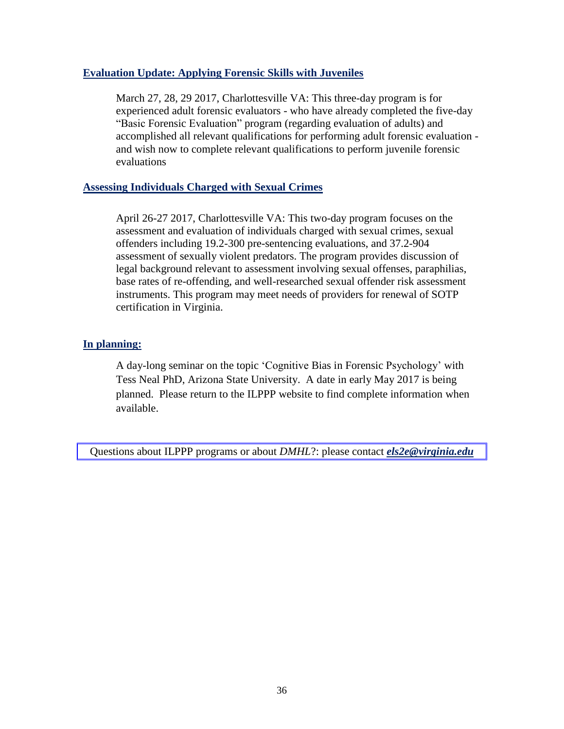# **[Evaluation Update: Applying Forensic Skills with Juveniles](http://www.ilppp.virginia.edu/OREM/JuvenilePrograms/Course/95)**

March 27, 28, 29 2017, Charlottesville VA: This three-day program is for experienced adult forensic evaluators - who have already completed the five-day "Basic Forensic Evaluation" program (regarding evaluation of adults) and accomplished all relevant qualifications for performing adult forensic evaluation and wish now to complete relevant qualifications to perform juvenile forensic evaluations

# **Assessing [Individuals](http://www.ilppp.virginia.edu/OREM/SexOffenderPrograms/Course/97) Charged with Sexual Crimes**

April 26-27 2017, Charlottesville VA: This two-day program focuses on the assessment and evaluation of individuals charged with sexual crimes, sexual offenders including 19.2-300 pre-sentencing evaluations, and 37.2-904 assessment of sexually violent predators. The program provides discussion of legal background relevant to assessment involving sexual offenses, paraphilias, base rates of re-offending, and well-researched sexual offender risk assessment instruments. This program may meet needs of providers for renewal of SOTP certification in Virginia.

# **In planning:**

A day-long seminar on the topic 'Cognitive Bias in Forensic Psychology' with Tess Neal PhD, Arizona State University. A date in early May 2017 is being planned. Please return to the ILPPP website to find complete information when available.

Questions about ILPPP programs or about *DMHL*?: please contact *[els2e@virginia.edu](mailto:els2e@virginia.edu)*